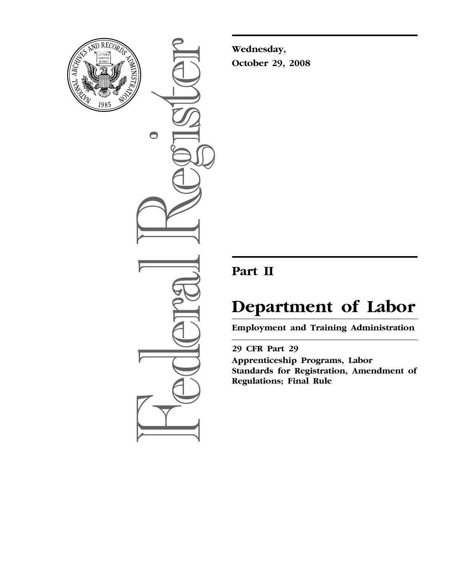

 $\bigcirc$ 

**Wednesday, October 29, 2008** 

# **Part II**

# **Department of Labor**

**Employment and Training Administration** 

**29 CFR Part 29 Apprenticeship Programs, Labor Standards for Registration, Amendment of Regulations; Final Rule**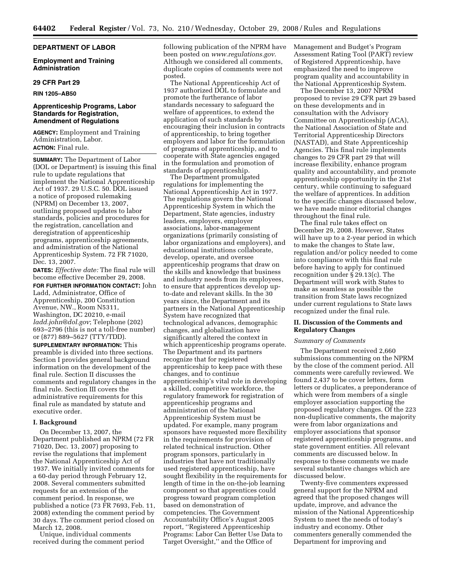#### **DEPARTMENT OF LABOR**

**Employment and Training Administration** 

#### **29 CFR Part 29**

**RIN 1205–AB50** 

# **Apprenticeship Programs, Labor Standards for Registration, Amendment of Regulations**

**AGENCY:** Employment and Training Administration, Labor. **ACTION:** Final rule.

**SUMMARY:** The Department of Labor (DOL or Department) is issuing this final rule to update regulations that implement the National Apprenticeship Act of 1937. 29 U.S.C. 50. DOL issued a notice of proposed rulemaking (NPRM) on December 13, 2007, outlining proposed updates to labor standards, policies and procedures for the registration, cancellation and deregistration of apprenticeship programs, apprenticeship agreements, and administration of the National Apprenticeship System. 72 FR 71020, Dec. 13, 2007.

**DATES:** *Effective date:* The final rule will become effective December 29, 2008.

**FOR FURTHER INFORMATION CONTACT:** John Ladd, Administrator, Office of Apprenticeship, 200 Constitution Avenue, NW., Room N5311, Washington, DC 20210, e-mail *[ladd.john@dol.gov](mailto:ladd.john@dol.gov)*; Telephone (202) 693–2796 (this is not a toll-free number) or (877) 889–5627 (TTY/TDD).

**SUPPLEMENTARY INFORMATION:** This preamble is divided into three sections. Section I provides general background information on the development of the final rule. Section II discusses the comments and regulatory changes in the final rule. Section III covers the administrative requirements for this final rule as mandated by statute and executive order.

#### **I. Background**

On December 13, 2007, the Department published an NPRM (72 FR 71020, Dec. 13, 2007) proposing to revise the regulations that implement the National Apprenticeship Act of 1937. We initially invited comments for a 60-day period through February 12, 2008. Several commenters submitted requests for an extension of the comment period. In response, we published a notice (73 FR 7693, Feb. 11, 2008) extending the comment period by 30 days. The comment period closed on March 12, 2008.

Unique, individual comments received during the comment period following publication of the NPRM have been posted on *[www.regulations.gov](http://www.regulations.gov)*. Although we considered all comments, duplicate copies of comments were not posted.

The National Apprenticeship Act of 1937 authorized DOL to formulate and promote the furtherance of labor standards necessary to safeguard the welfare of apprentices, to extend the application of such standards by encouraging their inclusion in contracts of apprenticeship, to bring together employers and labor for the formulation of programs of apprenticeship, and to cooperate with State agencies engaged in the formulation and promotion of standards of apprenticeship.

The Department promulgated regulations for implementing the National Apprenticeship Act in 1977. The regulations govern the National Apprenticeship System in which the Department, State agencies, industry leaders, employers, employer associations, labor-management organizations (primarily consisting of labor organizations and employers), and educational institutions collaborate, develop, operate, and oversee apprenticeship programs that draw on the skills and knowledge that business and industry needs from its employees, to ensure that apprentices develop upto-date and relevant skills. In the 30 years since, the Department and its partners in the National Apprenticeship System have recognized that technological advances, demographic changes, and globalization have significantly altered the context in which apprenticeship programs operate. The Department and its partners recognize that for registered apprenticeship to keep pace with these changes, and to continue apprenticeship's vital role in developing a skilled, competitive workforce, the regulatory framework for registration of apprenticeship programs and administration of the National Apprenticeship System must be updated. For example, many program sponsors have requested more flexibility in the requirements for provision of related technical instruction. Other program sponsors, particularly in industries that have not traditionally used registered apprenticeship, have sought flexibility in the requirements for length of time in the on-the-job learning component so that apprentices could progress toward program completion based on demonstration of competencies. The Government Accountability Office's August 2005 report, ''Registered Apprenticeship Programs: Labor Can Better Use Data to Target Oversight,'' and the Office of

Management and Budget's Program Assessment Rating Tool (PART) review of Registered Apprenticeship, have emphasized the need to improve program quality and accountability in the National Apprenticeship System.

The December 13, 2007 NPRM proposed to revise 29 CFR part 29 based on these developments and in consultation with the Advisory Committee on Apprenticeship (ACA), the National Association of State and Territorial Apprenticeship Directors (NASTAD), and State Apprenticeship Agencies. This final rule implements changes to 29 CFR part 29 that will increase flexibility, enhance program quality and accountability, and promote apprenticeship opportunity in the 21st century, while continuing to safeguard the welfare of apprentices. In addition to the specific changes discussed below, we have made minor editorial changes throughout the final rule.

The final rule takes effect on December 29, 2008. However, States will have up to a 2-year period in which to make the changes to State law, regulation and/or policy needed to come into compliance with this final rule before having to apply for continued recognition under § 29.13(c). The Department will work with States to make as seamless as possible the transition from State laws recognized under current regulations to State laws recognized under the final rule.

# **II. Discussion of the Comments and Regulatory Changes**

#### *Summary of Comments*

The Department received 2,660 submissions commenting on the NPRM by the close of the comment period. All comments were carefully reviewed. We found 2,437 to be cover letters, form letters or duplicates, a preponderance of which were from members of a single employer association supporting the proposed regulatory changes. Of the 223 non-duplicative comments, the majority were from labor organizations and employer associations that sponsor registered apprenticeship programs, and state government entities. All relevant comments are discussed below. In response to these comments we made several substantive changes which are discussed below.

Twenty-five commenters expressed general support for the NPRM and agreed that the proposed changes will update, improve, and advance the mission of the National Apprenticeship System to meet the needs of today's industry and economy. Other commenters generally commended the Department for improving and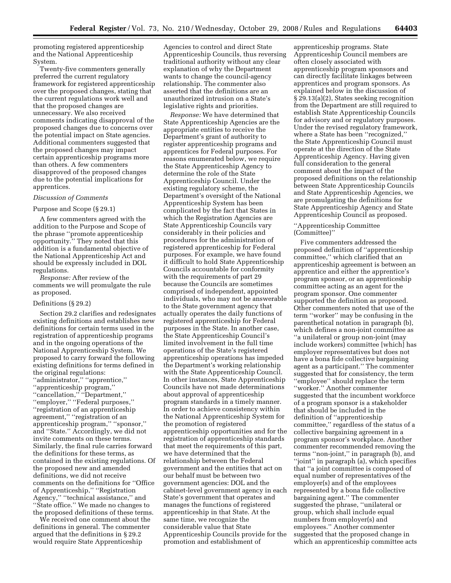promoting registered apprenticeship and the National Apprenticeship System.

Twenty-five commenters generally preferred the current regulatory framework for registered apprenticeship over the proposed changes, stating that the current regulations work well and that the proposed changes are unnecessary. We also received comments indicating disapproval of the proposed changes due to concerns over the potential impact on State agencies. Additional commenters suggested that the proposed changes may impact certain apprenticeship programs more than others. A few commenters disapproved of the proposed changes due to the potential implications for apprentices.

#### *Discussion of Comments*

#### Purpose and Scope (§ 29.1)

A few commenters agreed with the addition to the Purpose and Scope of the phrase ''promote apprenticeship opportunity.'' They noted that this addition is a fundamental objective of the National Apprenticeship Act and should be expressly included in DOL regulations.

*Response:* After review of the comments we will promulgate the rule as proposed.

#### Definitions (§ 29.2)

Section 29.2 clarifies and redesignates existing definitions and establishes new definitions for certain terms used in the registration of apprenticeship programs and in the ongoing operations of the National Apprenticeship System. We proposed to carry forward the following existing definitions for terms defined in the original regulations: ''administrator,'' ''apprentice,'' ''apprenticeship program,'' ''cancellation,'' ''Department,'' ''employer,'' ''Federal purposes,'' ''registration of an apprenticeship agreement,'' ''registration of an apprenticeship program,'' ''sponsor,'' and ''State.'' Accordingly, we did not invite comments on these terms. Similarly, the final rule carries forward the definitions for these terms, as contained in the existing regulations. Of the proposed new and amended definitions, we did not receive comments on the definitions for ''Office of Apprenticeship,'' ''Registration Agency,'' ''technical assistance,'' and ''State office.'' We made no changes to the proposed definitions of these terms.

We received one comment about the definitions in general. The commenter argued that the definitions in § 29.2 would require State Apprenticeship

Agencies to control and direct State Apprenticeship Councils, thus reversing traditional authority without any clear explanation of why the Department wants to change the council-agency relationship. The commenter also asserted that the definitions are an unauthorized intrusion on a State's legislative rights and priorities.

*Response:* We have determined that State Apprenticeship Agencies are the appropriate entities to receive the Department's grant of authority to register apprenticeship programs and apprentices for Federal purposes. For reasons enumerated below, we require the State Apprenticeship Agency to determine the role of the State Apprenticeship Council. Under the existing regulatory scheme, the Department's oversight of the National Apprenticeship System has been complicated by the fact that States in which the Registration Agencies are State Apprenticeship Councils vary considerably in their policies and procedures for the administration of registered apprenticeship for Federal purposes. For example, we have found it difficult to hold State Apprenticeship Councils accountable for conformity with the requirements of part 29 because the Councils are sometimes comprised of independent, appointed individuals, who may not be answerable to the State government agency that actually operates the daily functions of registered apprenticeship for Federal purposes in the State. In another case, the State Apprenticeship Council's limited involvement in the full time operations of the State's registered apprenticeship operations has impeded the Department's working relationship with the State Apprenticeship Council. In other instances, State Apprenticeship Councils have not made determinations about approval of apprenticeship program standards in a timely manner. In order to achieve consistency within the National Apprenticeship System for the promotion of registered apprenticeship opportunities and for the registration of apprenticeship standards that meet the requirements of this part, we have determined that the relationship between the Federal government and the entities that act on our behalf must be between two government agencies: DOL and the cabinet-level government agency in each State's government that operates and manages the functions of registered apprenticeship in that State. At the same time, we recognize the considerable value that State Apprenticeship Councils provide for the promotion and establishment of

apprenticeship programs. State Apprenticeship Council members are often closely associated with apprenticeship program sponsors and can directly facilitate linkages between apprentices and program sponsors. As explained below in the discussion of § 29.13(a)(2), States seeking recognition from the Department are still required to establish State Apprenticeship Councils for advisory and or regulatory purposes. Under the revised regulatory framework, where a State has been ''recognized,'' the State Apprenticeship Council must operate at the direction of the State Apprenticeship Agency. Having given full consideration to the general comment about the impact of the proposed definitions on the relationship between State Apprenticeship Councils and State Apprenticeship Agencies, we are promulgating the definitions for State Apprenticeship Agency and State Apprenticeship Council as proposed.

# ''Apprenticeship Committee (Committee)''

Five commenters addressed the proposed definition of ''apprenticeship committee,'' which clarified that an apprenticeship agreement is between an apprentice and either the apprentice's program sponsor, or an apprenticeship committee acting as an agent for the program sponsor. One commenter supported the definition as proposed. Other commenters noted that use of the term ''worker'' may be confusing in the parenthetical notation in paragraph (b), which defines a non-joint committee as ''a unilateral or group non-joint (may include workers) committee [which] has employer representatives but does not have a bona fide collective bargaining agent as a participant.'' The commenter suggested that for consistency, the term ''employee'' should replace the term ''worker.'' Another commenter suggested that the incumbent workforce of a program sponsor is a stakeholder that should be included in the definition of ''apprenticeship committee,'' regardless of the status of a collective bargaining agreement in a program sponsor's workplace. Another commenter recommended removing the terms ''non-joint,'' in paragraph (b), and ''joint'' in paragraph (a), which specifies that ''a joint committee is composed of equal number of representatives of the employer(s) and of the employees represented by a bona fide collective bargaining agent.'' The commenter suggested the phrase, ''unilateral or group, which shall include equal numbers from employer(s) and employees.'' Another commenter suggested that the proposed change in which an apprenticeship committee acts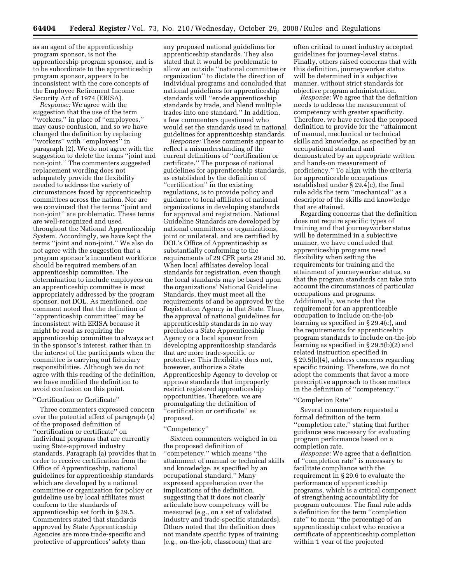as an agent of the apprenticeship program sponsor, is not the apprenticeship program sponsor, and is to be subordinate to the apprenticeship program sponsor, appears to be inconsistent with the core concepts of the Employee Retirement Income Security Act of 1974 (ERISA).

*Response:* We agree with the suggestion that the use of the term ''workers,'' in place of ''employees,'' may cause confusion, and so we have changed the definition by replacing ''workers'' with ''employees'' in paragraph (2). We do not agree with the suggestion to delete the terms ''joint and non-joint.'' The commenters suggested replacement wording does not adequately provide the flexibility needed to address the variety of circumstances faced by apprenticeship committees across the nation. Nor are we convinced that the terms ''joint and non-joint'' are problematic. These terms are well-recognized and used throughout the National Apprenticeship System. Accordingly, we have kept the terms ''joint and non-joint.'' We also do not agree with the suggestion that a program sponsor's incumbent workforce should be required members of an apprenticeship committee. The determination to include employees on an apprenticeship committee is most appropriately addressed by the program sponsor, not DOL. As mentioned, one comment noted that the definition of ''apprenticeship committee'' may be inconsistent with ERISA because it might be read as requiring the apprenticeship committee to always act in the sponsor's interest, rather than in the interest of the participants when the committee is carrying out fiduciary responsibilities. Although we do not agree with this reading of the definition, we have modified the definition to avoid confusion on this point.

#### ''Certification or Certificate''

Three commenters expressed concern over the potential effect of paragraph (a) of the proposed definition of ''certification or certificate'' on individual programs that are currently using State-approved industry standards. Paragraph (a) provides that in order to receive certification from the Office of Apprenticeship, national guidelines for apprenticeship standards which are developed by a national committee or organization for policy or guideline use by local affiliates must conform to the standards of apprenticeship set forth in § 29.5. Commenters stated that standards approved by State Apprenticeship Agencies are more trade-specific and protective of apprentices' safety than

any proposed national guidelines for apprenticeship standards. They also stated that it would be problematic to allow an outside ''national committee or organization'' to dictate the direction of individual programs and concluded that national guidelines for apprenticeship standards will ''erode apprenticeship standards by trade, and blend multiple trades into one standard.'' In addition, a few commenters questioned who would set the standards used in national guidelines for apprenticeship standards.

*Response:* These comments appear to reflect a misunderstanding of the current definitions of ''certification or certificate.'' The purpose of national guidelines for apprenticeship standards, as established by the definition of ''certification'' in the existing regulations, is to provide policy and guidance to local affiliates of national organizations in developing standards for approval and registration. National Guideline Standards are developed by national committees or organizations, joint or unilateral, and are certified by DOL's Office of Apprenticeship as substantially conforming to the requirements of 29 CFR parts 29 and 30. When local affiliates develop local standards for registration, even though the local standards may be based upon the organizations' National Guideline Standards, they must meet all the requirements of and be approved by the Registration Agency in that State. Thus, the approval of national guidelines for apprenticeship standards in no way precludes a State Apprenticeship Agency or a local sponsor from developing apprenticeship standards that are more trade-specific or protective. This flexibility does not, however, authorize a State Apprenticeship Agency to develop or approve standards that improperly restrict registered apprenticeship opportunities. Therefore, we are promulgating the definition of ''certification or certificate'' as proposed.

#### ''Competency''

Sixteen commenters weighed in on the proposed definition of ''competency,'' which means ''the attainment of manual or technical skills and knowledge, as specified by an occupational standard.'' Many expressed apprehension over the implications of the definition, suggesting that it does not clearly articulate how competency will be measured (e.g., on a set of validated industry and trade-specific standards). Others noted that the definition does not mandate specific types of training (e.g., on-the-job, classroom) that are

often critical to meet industry accepted guidelines for journey-level status. Finally, others raised concerns that with this definition, journeyworker status will be determined in a subjective manner, without strict standards for objective program administration.

*Response:* We agree that the definition needs to address the measurement of competency with greater specificity. Therefore, we have revised the proposed definition to provide for the ''attainment of manual, mechanical or technical skills and knowledge, as specified by an occupational standard and demonstrated by an appropriate written and hands-on measurement of proficiency.'' To align with the criteria for apprenticeable occupations established under § 29.4(c), the final rule adds the term ''mechanical'' as a descriptor of the skills and knowledge that are attained.

Regarding concerns that the definition does not require specific types of training and that journeyworker status will be determined in a subjective manner, we have concluded that apprenticeship programs need flexibility when setting the requirements for training and the attainment of journeyworker status, so that the program standards can take into account the circumstances of particular occupations and programs. Additionally, we note that the requirement for an apprenticeable occupation to include on-the-job learning as specified in § 29.4(c), and the requirements for apprenticeship program standards to include on-the-job learning as specified in § 29.5(b)(2) and related instruction specified in § 29.5(b)(4), address concerns regarding specific training. Therefore, we do not adopt the comments that favor a more prescriptive approach to those matters in the definition of ''competency.''

#### ''Completion Rate''

Several commenters requested a formal definition of the term ''completion rate,'' stating that further guidance was necessary for evaluating program performance based on a completion rate.

*Response:* We agree that a definition of ''completion rate'' is necessary to facilitate compliance with the requirement in § 29.6 to evaluate the performance of apprenticeship programs, which is a critical component of strengthening accountability for program outcomes. The final rule adds a definition for the term ''completion rate'' to mean ''the percentage of an apprenticeship cohort who receive a certificate of apprenticeship completion within 1 year of the projected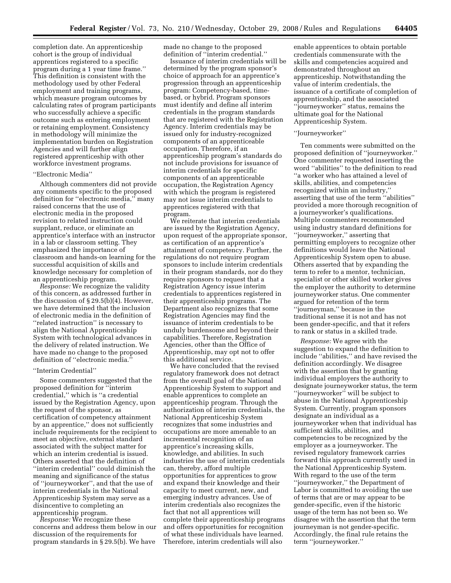completion date. An apprenticeship cohort is the group of individual apprentices registered to a specific program during a 1 year time frame.'' This definition is consistent with the methodology used by other Federal employment and training programs, which measure program outcomes by calculating rates of program participants who successfully achieve a specific outcome such as entering employment or retaining employment. Consistency in methodology will minimize the implementation burden on Registration Agencies and will further align registered apprenticeship with other workforce investment programs.

# ''Electronic Media''

Although commenters did not provide any comments specific to the proposed definition for ''electronic media,'' many raised concerns that the use of electronic media in the proposed revision to related instruction could supplant, reduce, or eliminate an apprentice's interface with an instructor in a lab or classroom setting. They emphasized the importance of classroom and hands-on learning for the successful acquisition of skills and knowledge necessary for completion of an apprenticeship program.

*Response:* We recognize the validity of this concern, as addressed further in the discussion of § 29.5(b)(4). However, we have determined that the inclusion of electronic media in the definition of ''related instruction'' is necessary to align the National Apprenticeship System with technological advances in the delivery of related instruction. We have made no change to the proposed definition of "electronic media."

#### ''Interim Credential''

Some commenters suggested that the proposed definition for ''interim credential,'' which is ''a credential issued by the Registration Agency, upon the request of the sponsor, as certification of competency attainment by an apprentice,'' does not sufficiently include requirements for the recipient to meet an objective, external standard associated with the subject matter for which an interim credential is issued. Others asserted that the definition of ''interim credential'' could diminish the meaning and significance of the status of ''journeyworker'', and that the use of interim credentials in the National Apprenticeship System may serve as a disincentive to completing an apprenticeship program.

*Response:* We recognize these concerns and address them below in our discussion of the requirements for program standards in § 29.5(b). We have

made no change to the proposed definition of ''interim credential.''

Issuance of interim credentials will be determined by the program sponsor's choice of approach for an apprentice's progression through an apprenticeship program: Competency-based, timebased, or hybrid. Program sponsors must identify and define all interim credentials in the program standards that are registered with the Registration Agency. Interim credentials may be issued only for industry-recognized components of an apprenticeable occupation. Therefore, if an apprenticeship program's standards do not include provisions for issuance of interim credentials for specific components of an apprenticeable occupation, the Registration Agency with which the program is registered may not issue interim credentials to apprentices registered with that program.

We reiterate that interim credentials are issued by the Registration Agency, upon request of the appropriate sponsor, as certification of an apprentice's attainment of competency. Further, the regulations do not require program sponsors to include interim credentials in their program standards, nor do they require sponsors to request that a Registration Agency issue interim credentials to apprentices registered in their apprenticeship programs. The Department also recognizes that some Registration Agencies may find the issuance of interim credentials to be unduly burdensome and beyond their capabilities. Therefore, Registration Agencies, other than the Office of Apprenticeship, may opt not to offer this additional service.

We have concluded that the revised regulatory framework does not detract from the overall goal of the National Apprenticeship System to support and enable apprentices to complete an apprenticeship program. Through the authorization of interim credentials, the National Apprenticeship System recognizes that some industries and occupations are more amenable to an incremental recognition of an apprentice's increasing skills, knowledge, and abilities. In such industries the use of interim credentials can, thereby, afford multiple opportunities for apprentices to grow and expand their knowledge and their capacity to meet current, new, and emerging industry advances. Use of interim credentials also recognizes the fact that not all apprentices will complete their apprenticeship programs and offers opportunities for recognition of what these individuals have learned. Therefore, interim credentials will also

enable apprentices to obtain portable credentials commensurate with the skills and competencies acquired and demonstrated throughout an apprenticeship. Notwithstanding the value of interim credentials, the issuance of a certificate of completion of apprenticeship, and the associated ''journeyworker'' status, remains the ultimate goal for the National Apprenticeship System.

#### ''Journeyworker''

Ten comments were submitted on the proposed definition of ''journeyworker.'' One commenter requested inserting the word ''abilities'' to the definition to read ''a worker who has attained a level of skills, abilities, and competencies recognized within an industry,'' asserting that use of the term ''abilities'' provided a more thorough recognition of a journeyworker's qualifications. Multiple commenters recommended using industry standard definitions for ''journeyworker,'' asserting that permitting employers to recognize other definitions would leave the National Apprenticeship System open to abuse. Others asserted that by expanding the term to refer to a mentor, technician, specialist or other skilled worker gives the employer the authority to determine journeyworker status. One commenter argued for retention of the term ''journeyman,'' because in the traditional sense it is not and has not been gender-specific, and that it refers to rank or status in a skilled trade.

*Response:* We agree with the suggestion to expand the definition to include ''abilities,'' and have revised the definition accordingly. We disagree with the assertion that by granting individual employers the authority to designate journeyworker status, the term ''journeyworker'' will be subject to abuse in the National Apprenticeship System. Currently, program sponsors designate an individual as a journeyworker when that individual has sufficient skills, abilities, and competencies to be recognized by the employer as a journeyworker. The revised regulatory framework carries forward this approach currently used in the National Apprenticeship System. With regard to the use of the term ''journeyworker,'' the Department of Labor is committed to avoiding the use of terms that are or may appear to be gender-specific, even if the historic usage of the term has not been so. We disagree with the assertion that the term journeyman is not gender-specific. Accordingly, the final rule retains the term ''journeyworker.''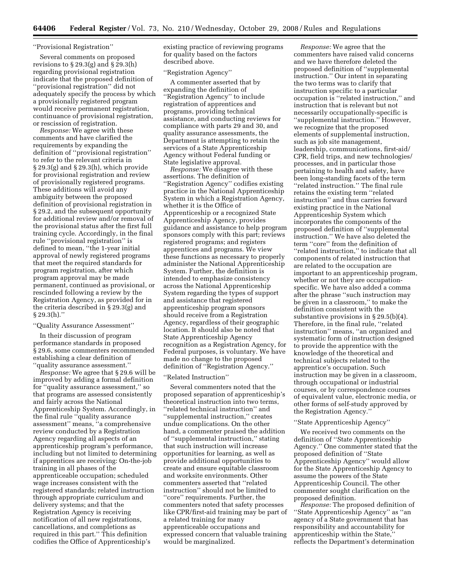#### ''Provisional Registration''

Several comments on proposed revisions to  $\S 29.3(g)$  and  $\S 29.3(h)$ regarding provisional registration indicate that the proposed definition of ''provisional registration'' did not adequately specify the process by which a provisionally registered program would receive permanent registration, continuance of provisional registration, or rescission of registration.

*Response:* We agree with these comments and have clarified the requirements by expanding the definition of ''provisional registration'' to refer to the relevant criteria in § 29.3(g) and § 29.3(h), which provide for provisional registration and review of provisionally registered programs. These additions will avoid any ambiguity between the proposed definition of provisional registration in § 29.2, and the subsequent opportunity for additional review and/or removal of the provisional status after the first full training cycle. Accordingly, in the final rule ''provisional registration'' is defined to mean, ''the 1-year initial approval of newly registered programs that meet the required standards for program registration, after which program approval may be made permanent, continued as provisional, or rescinded following a review by the Registration Agency, as provided for in the criteria described in § 29.3(g) and § 29.3(h).''

#### ''Quality Assurance Assessment''

In their discussion of program performance standards in proposed § 29.6, some commenters recommended establishing a clear definition of ''quality assurance assessment.''

*Response:* We agree that § 29.6 will be improved by adding a formal definition for ''quality assurance assessment,'' so that programs are assessed consistently and fairly across the National Apprenticeship System. Accordingly, in the final rule ''quality assurance assessment'' means, ''a comprehensive review conducted by a Registration Agency regarding all aspects of an apprenticeship program's performance, including but not limited to determining if apprentices are receiving: On-the-job training in all phases of the apprenticeable occupation; scheduled wage increases consistent with the registered standards; related instruction through appropriate curriculum and delivery systems; and that the Registration Agency is receiving notification of all new registrations, cancellations, and completions as required in this part.'' This definition codifies the Office of Apprenticeship's

existing practice of reviewing programs for quality based on the factors described above.

#### ''Registration Agency''

A commenter asserted that by expanding the definition of ''Registration Agency'' to include registration of apprentices and programs, providing technical assistance, and conducting reviews for compliance with parts 29 and 30, and quality assurance assessments, the Department is attempting to retain the services of a State Apprenticeship Agency without Federal funding or State legislative approval.

*Response:* We disagree with these assertions. The definition of ''Registration Agency'' codifies existing practice in the National Apprenticeship System in which a Registration Agency, whether it is the Office of Apprenticeship or a recognized State Apprenticeship Agency, provides guidance and assistance to help program sponsors comply with this part; reviews registered programs; and registers apprentices and programs. We view these functions as necessary to properly administer the National Apprenticeship System. Further, the definition is intended to emphasize consistency across the National Apprenticeship System regarding the types of support and assistance that registered apprenticeship program sponsors should receive from a Registration Agency, regardless of their geographic location. It should also be noted that State Apprenticeship Agency recognition as a Registration Agency, for Federal purposes, is voluntary. We have made no change to the proposed definition of ''Registration Agency.''

#### ''Related Instruction''

Several commenters noted that the proposed separation of apprenticeship's theoretical instruction into two terms, ''related technical instruction'' and ''supplemental instruction,'' creates undue complications. On the other hand, a commenter praised the addition of ''supplemental instruction,'' stating that such instruction will increase opportunities for learning, as well as provide additional opportunities to create and ensure equitable classroom and worksite environments. Other commenters asserted that ''related instruction'' should not be limited to ''core'' requirements. Further, the commenters noted that safety processes like CPR/first-aid training may be part of a related training for many apprenticeable occupations and expressed concern that valuable training would be marginalized.

*Response:* We agree that the commenters have raised valid concerns and we have therefore deleted the proposed definition of ''supplemental instruction.'' Our intent in separating the two terms was to clarify that instruction specific to a particular occupation is ''related instruction,'' and instruction that is relevant but not necessarily occupationally-specific is ''supplemental instruction.'' However, we recognize that the proposed elements of supplemental instruction, such as job site management, leadership, communications, first-aid/ CPR, field trips, and new technologies/ processes, and in particular those pertaining to health and safety, have been long-standing facets of the term ''related instruction.'' The final rule retains the existing term ''related instruction'' and thus carries forward existing practice in the National Apprenticeship System which incorporates the components of the proposed definition of ''supplemental instruction.'' We have also deleted the term ''core'' from the definition of ''related instruction,'' to indicate that all components of related instruction that are related to the occupation are important to an apprenticeship program, whether or not they are occupationspecific. We have also added a comma after the phrase ''such instruction may be given in a classroom,'' to make the definition consistent with the substantive provisions in § 29.5(b)(4). Therefore, in the final rule, ''related instruction'' means, ''an organized and systematic form of instruction designed to provide the apprentice with the knowledge of the theoretical and technical subjects related to the apprentice's occupation. Such instruction may be given in a classroom, through occupational or industrial courses, or by correspondence courses of equivalent value, electronic media, or other forms of self-study approved by the Registration Agency.''

#### ''State Apprenticeship Agency''

We received two comments on the definition of ''State Apprenticeship Agency.'' One commenter stated that the proposed definition of ''State Apprenticeship Agency'' would allow for the State Apprenticeship Agency to assume the powers of the State Apprenticeship Council. The other commenter sought clarification on the proposed definition.

*Response:* The proposed definition of ''State Apprenticeship Agency'' as ''an agency of a State government that has responsibility and accountability for apprenticeship within the State,'' reflects the Department's determination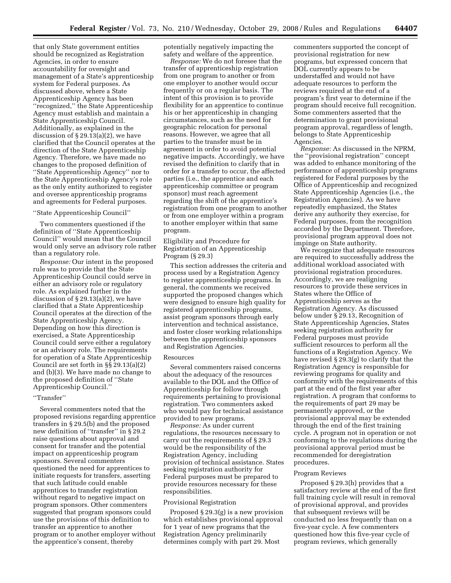that only State government entities should be recognized as Registration Agencies, in order to ensure accountability for oversight and management of a State's apprenticeship system for Federal purposes. As discussed above, where a State Apprenticeship Agency has been ''recognized,'' the State Apprenticeship Agency must establish and maintain a State Apprenticeship Council. Additionally, as explained in the discussion of  $\S 29.13(a)(2)$ , we have clarified that the Council operates at the direction of the State Apprenticeship Agency. Therefore, we have made no changes to the proposed definition of ''State Apprenticeship Agency'' nor to the State Apprenticeship Agency's role as the only entity authorized to register and oversee apprenticeship programs and agreements for Federal purposes.

# ''State Apprenticeship Council''

Two commenters questioned if the definition of ''State Apprenticeship Council'' would mean that the Council would only serve an advisory role rather than a regulatory role.

*Response:* Our intent in the proposed rule was to provide that the State Apprenticeship Council could serve in either an advisory role or regulatory role. As explained further in the discussion of  $\S 29.13(a)(2)$ , we have clarified that a State Apprenticeship Council operates at the direction of the State Apprenticeship Agency. Depending on how this direction is exercised, a State Apprenticeship Council could serve either a regulatory or an advisory role. The requirements for operation of a State Apprenticeship Council are set forth in §§ 29.13(a)(2) and (b)(3). We have made no change to the proposed definition of ''State Apprenticeship Council.''

#### ''Transfer''

Several commenters noted that the proposed revisions regarding apprentice transfers in § 29.5(b) and the proposed new definition of ''transfer'' in § 29.2 raise questions about approval and consent for transfer and the potential impact on apprenticeship program sponsors. Several commenters questioned the need for apprentices to initiate requests for transfers, asserting that such latitude could enable apprentices to transfer registration without regard to negative impact on program sponsors. Other commenters suggested that program sponsors could use the provisions of this definition to transfer an apprentice to another program or to another employer without the apprentice's consent, thereby

potentially negatively impacting the safety and welfare of the apprentice.

*Response:* We do not foresee that the transfer of apprenticeship registration from one program to another or from one employer to another would occur frequently or on a regular basis. The intent of this provision is to provide flexibility for an apprentice to continue his or her apprenticeship in changing circumstances, such as the need for geographic relocation for personal reasons. However, we agree that all parties to the transfer must be in agreement in order to avoid potential negative impacts. Accordingly, we have revised the definition to clarify that in order for a transfer to occur, the affected parties (i.e., the apprentice and each apprenticeship committee or program sponsor) must reach agreement regarding the shift of the apprentice's registration from one program to another or from one employer within a program to another employer within that same program.

# Eligibility and Procedure for Registration of an Apprenticeship Program (§ 29.3)

This section addresses the criteria and process used by a Registration Agency to register apprenticeship programs. In general, the comments we received supported the proposed changes which were designed to ensure high quality for registered apprenticeship programs, assist program sponsors through early intervention and technical assistance, and foster closer working relationships between the apprenticeship sponsors and Registration Agencies.

#### Resources

Several commenters raised concerns about the adequacy of the resources available to the DOL and the Office of Apprenticeship for follow through requirements pertaining to provisional registration. Two commenters asked who would pay for technical assistance provided to new programs.

*Response:* As under current regulations, the resources necessary to carry out the requirements of § 29.3 would be the responsibility of the Registration Agency, including provision of technical assistance. States seeking registration authority for Federal purposes must be prepared to provide resources necessary for these responsibilities.

#### Provisional Registration

Proposed § 29.3(g) is a new provision which establishes provisional approval for 1 year of new programs that the Registration Agency preliminarily determines comply with part 29. Most

commenters supported the concept of provisional registration for new programs, but expressed concern that DOL currently appears to be understaffed and would not have adequate resources to perform the reviews required at the end of a program's first year to determine if the program should receive full recognition. Some commenters asserted that the determination to grant provisional program approval, regardless of length, belongs to State Apprenticeship Agencies.

*Response:* As discussed in the NPRM, the ''provisional registration'' concept was added to enhance monitoring of the performance of apprenticeship programs registered for Federal purposes by the Office of Apprenticeship and recognized State Apprenticeship Agencies (i.e., the Registration Agencies). As we have repeatedly emphasized, the States derive any authority they exercise, for Federal purposes, from the recognition accorded by the Department. Therefore, provisional program approval does not impinge on State authority.

We recognize that adequate resources are required to successfully address the additional workload associated with provisional registration procedures. Accordingly, we are realigning resources to provide these services in States where the Office of Apprenticeship serves as the Registration Agency. As discussed below under § 29.13, Recognition of State Apprenticeship Agencies, States seeking registration authority for Federal purposes must provide sufficient resources to perform all the functions of a Registration Agency. We have revised § 29.3(g) to clarify that the Registration Agency is responsible for reviewing programs for quality and conformity with the requirements of this part at the end of the first year after registration. A program that conforms to the requirements of part 29 may be permanently approved, or the provisional approval may be extended through the end of the first training cycle. A program not in operation or not conforming to the regulations during the provisional approval period must be recommended for deregistration procedures.

#### Program Reviews

Proposed § 29.3(h) provides that a satisfactory review at the end of the first full training cycle will result in removal of provisional approval, and provides that subsequent reviews will be conducted no less frequently than on a five-year cycle. A few commenters questioned how this five-year cycle of program reviews, which generally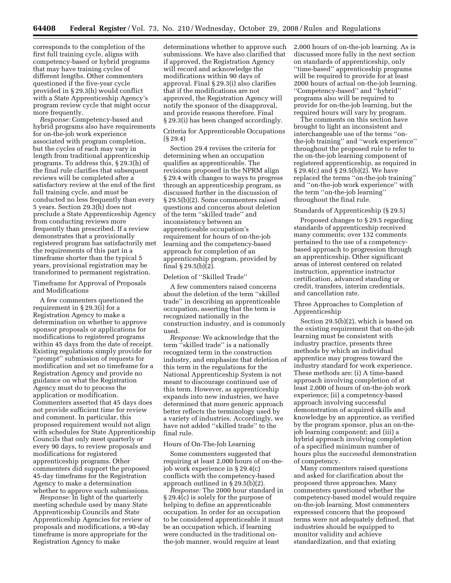corresponds to the completion of the first full training cycle, aligns with competency-based or hybrid programs that may have training cycles of different lengths. Other commenters questioned if the five-year cycle provided in § 29.3(h) would conflict with a State Apprenticeship Agency's program review cycle that might occur more frequently.

*Response:* Competency-based and hybrid programs also have requirements for on-the-job work experience associated with program completion, but the cycles of each may vary in length from traditional apprenticeship programs. To address this, § 29.3(h) of the final rule clarifies that subsequent reviews will be completed after a satisfactory review at the end of the first full training cycle, and must be conducted no less frequently than every 5 years. Section 29.3(h) does not preclude a State Apprenticeship Agency from conducting reviews more frequently than prescribed. If a review demonstrates that a provisionally registered program has satisfactorily met the requirements of this part in a timeframe shorter than the typical 5 years, provisional registration may be transformed to permanent registration.

Timeframe for Approval of Proposals and Modifications

A few commenters questioned the requirement in § 29.3(i) for a Registration Agency to make a determination on whether to approve sponsor proposals or applications for modifications to registered programs within 45 days from the date of receipt. Existing regulations simply provide for ''prompt'' submission of requests for modification and set no timeframe for a Registration Agency and provide no guidance on what the Registration Agency must do to process the application or modification. Commenters asserted that 45 days does not provide sufficient time for review and comment. In particular, this proposed requirement would not align with schedules for State Apprenticeship Councils that only meet quarterly or every 90 days, to review proposals and modifications for registered apprenticeship programs. Other commenters did support the proposed 45-day timeframe for the Registration Agency to make a determination whether to approve such submissions.

*Response:* In light of the quarterly meeting schedule used by many State Apprenticeship Councils and State Apprenticeship Agencies for review of proposals and modifications, a 90-day timeframe is more appropriate for the Registration Agency to make

determinations whether to approve such submissions. We have also clarified that if approved, the Registration Agency will record and acknowledge the modifications within 90 days of approval. Final § 29.3(i) also clarifies that if the modifications are not approved, the Registration Agency will notify the sponsor of the disapproval, and provide reasons therefore. Final § 29.3(i) has been changed accordingly.

Criteria for Apprenticeable Occupations (§ 29.4)

Section 29.4 revises the criteria for determining when an occupation qualifies as apprenticeable. The revisions proposed in the NPRM align § 29.4 with changes to ways to progress through an apprenticeship program, as discussed further in the discussion of § 29.5(b)(2). Some commenters raised questions and concerns about deletion of the term ''skilled trade'' and inconsistency between an apprenticeable occupation's requirement for hours of on-the-job learning and the competency-based approach for completion of an apprenticeship program, provided by final § 29.5(b)(2).

# Deletion of ''Skilled Trade''

A few commenters raised concerns about the deletion of the term ''skilled trade'' in describing an apprenticeable occupation, asserting that the term is recognized nationally in the construction industry, and is commonly used.

*Response:* We acknowledge that the term ''skilled trade'' is a nationally recognized term in the construction industry, and emphasize that deletion of this term in the regulations for the National Apprenticeship System is not meant to discourage continued use of this term. However, as apprenticeship expands into new industries, we have determined that more generic approach better reflects the terminology used by a variety of industries. Accordingly, we have not added ''skilled trade'' to the final rule.

# Hours of On-The-Job Learning

Some commenters suggested that requiring at least 2,000 hours of on-thejob work experience in § 29.4(c) conflicts with the competency-based approach outlined in § 29.5(b)(2).

*Response:* The 2000 hour standard in § 29.4(c) is solely for the purpose of helping to define an apprenticeable occupation. In order for an occupation to be considered apprenticeable it must be an occupation which, if learning were conducted in the traditional onthe-job manner, would require at least

2,000 hours of on-the-job learning. As is discussed more fully in the next section on standards of apprenticeship, only ''time-based'' apprenticeship programs will be required to provide for at least 2000 hours of actual on-the-job learning. ''Competency-based'' and ''hybrid'' programs also will be required to provide for on-the-job learning, but the required hours will vary by program.

The comments on this section have brought to light an inconsistent and interchangeable use of the terms ''onthe-job training'' and ''work experience'' throughout the proposed rule to refer to the on-the-job learning component of registered apprenticeship, as required in § 29.4(c) and § 29.5(b)(2). We have replaced the terms ''on-the-job training'' and ''on-the-job work experience'' with the term ''on-the-job learning'' throughout the final rule.

## Standards of Apprenticeship (§ 29.5)

Proposed changes to § 29.5 regarding standards of apprenticeship received many comments; over 132 comments pertained to the use of a competencybased approach to progression through an apprenticeship. Other significant areas of interest centered on related instruction, apprentice instructor certification, advanced standing or credit, transfers, interim credentials, and cancellation rate.

# Three Approaches to Completion of Apprenticeship

Section 29.5(b)(2), which is based on the existing requirement that on-the-job learning must be consistent with industry practice, presents three methods by which an individual apprentice may progress toward the industry standard for work experience. These methods are: (i) A time-based approach involving completion of at least 2,000 of hours of on-the-job work experience; (ii) a competency-based approach involving successful demonstration of acquired skills and knowledge by an apprentice, as verified by the program sponsor, plus an on-thejob learning component; and (iii) a hybrid approach involving completion of a specified minimum number of hours plus the successful demonstration of competency.

Many commenters raised questions and asked for clarification about the proposed three approaches. Many commenters questioned whether the competency-based model would require on-the-job learning. Most commenters expressed concern that the proposed terms were not adequately defined, that industries should be equipped to monitor validity and achieve standardization, and that existing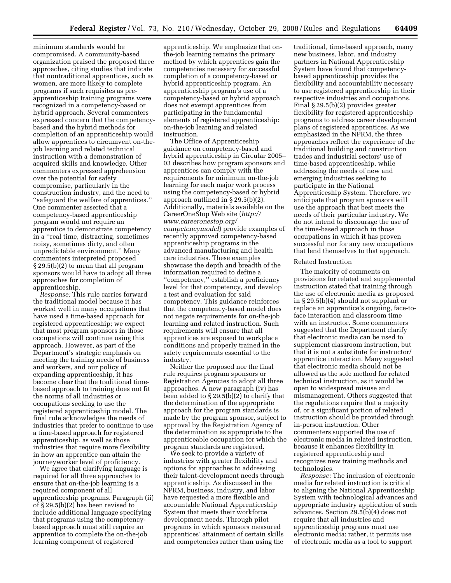minimum standards would be compromised. A community-based organization praised the proposed three approaches, citing studies that indicate that nontraditional apprentices, such as women, are more likely to complete programs if such requisites as preapprenticeship training programs were recognized in a competency-based or hybrid approach. Several commenters expressed concern that the competencybased and the hybrid methods for completion of an apprenticeship would allow apprentices to circumvent on-thejob learning and related technical instruction with a demonstration of acquired skills and knowledge. Other commenters expressed apprehension over the potential for safety compromise, particularly in the construction industry, and the need to ''safeguard the welfare of apprentices.'' One commenter asserted that a competency-based apprenticeship program would not require an apprentice to demonstrate competency in a ''real time, distracting, sometimes noisy, sometimes dirty, and often unpredictable environment.'' Many commenters interpreted proposed § 29.5(b)(2) to mean that all program sponsors would have to adopt all three approaches for completion of apprenticeship.

*Response:* This rule carries forward the traditional model because it has worked well in many occupations that have used a time-based approach for registered apprenticeship; we expect that most program sponsors in those occupations will continue using this approach. However, as part of the Department's strategic emphasis on meeting the training needs of business and workers, and our policy of expanding apprenticeship, it has become clear that the traditional timebased approach to training does not fit the norms of all industries or occupations seeking to use the registered apprenticeship model. The final rule acknowledges the needs of industries that prefer to continue to use a time-based approach for registered apprenticeship, as well as those industries that require more flexibility in how an apprentice can attain the journeyworker level of proficiency.

We agree that clarifying language is required for all three approaches to ensure that on-the-job learning is a required component of all apprenticeship programs. Paragraph (ii) of § 29.5(b)(2) has been revised to include additional language specifying that programs using the competencybased approach must still require an apprentice to complete the on-the-job learning component of registered

apprenticeship. We emphasize that onthe-job learning remains the primary method by which apprentices gain the competencies necessary for successful completion of a competency-based or hybrid apprenticeship program. An apprenticeship program's use of a competency-based or hybrid approach does not exempt apprentices from participating in the fundamental elements of registered apprenticeship: on-the-job learning and related instruction.

The Office of Apprenticeship guidance on competency-based and hybrid apprenticeship in Circular 2005– 03 describes how program sponsors and apprentices can comply with the requirements for minimum on-the-job learning for each major work process using the competency-based or hybrid approach outlined in § 29.5(b)(2). Additionally, materials available on the [CareerOneStop Web site \(](http://www.careeronestop.org/competencymodel)*http:// www.careeronestop.org/ competencymodel*) provide examples of recently approved competency-based apprenticeship programs in the advanced manufacturing and health care industries. These examples showcase the depth and breadth of the information required to define a ''competency,'' establish a proficiency level for that competency, and develop a test and evaluation for said competency. This guidance reinforces that the competency-based model does not negate requirements for on-the-job learning and related instruction. Such requirements will ensure that all apprentices are exposed to workplace conditions and properly trained in the safety requirements essential to the industry.

Neither the proposed nor the final rule requires program sponsors or Registration Agencies to adopt all three approaches. A new paragraph (iv) has been added to § 29.5(b)(2) to clarify that the determination of the appropriate approach for the program standards is made by the program sponsor, subject to approval by the Registration Agency of the determination as appropriate to the apprenticeable occupation for which the program standards are registered.

We seek to provide a variety of industries with greater flexibility and options for approaches to addressing their talent-development needs through apprenticeship. As discussed in the NPRM, business, industry, and labor have requested a more flexible and accountable National Apprenticeship System that meets their workforce development needs. Through pilot programs in which sponsors measured apprentices' attainment of certain skills and competencies rather than using the

traditional, time-based approach, many new business, labor, and industry partners in National Apprenticeship System have found that competencybased apprenticeship provides the flexibility and accountability necessary to use registered apprenticeship in their respective industries and occupations. Final § 29.5(b)(2) provides greater flexibility for registered apprenticeship programs to address career development plans of registered apprentices. As we emphasized in the NPRM, the three approaches reflect the experience of the traditional building and construction trades and industrial sectors' use of time-based apprenticeship, while addressing the needs of new and emerging industries seeking to participate in the National Apprenticeship System. Therefore, we anticipate that program sponsors will use the approach that best meets the needs of their particular industry. We do not intend to discourage the use of the time-based approach in those occupations in which it has proven successful nor for any new occupations that lend themselves to that approach.

#### Related Instruction

The majority of comments on provisions for related and supplemental instruction stated that training through the use of electronic media as proposed in § 29.5(b)(4) should not supplant or replace an apprentice's ongoing, face-toface interaction and classroom time with an instructor. Some commenters suggested that the Department clarify that electronic media can be used to supplement classroom instruction, but that it is not a substitute for instructor/ apprentice interaction. Many suggested that electronic media should not be allowed as the sole method for related technical instruction, as it would be open to widespread misuse and mismanagement. Others suggested that the regulations require that a majority of, or a significant portion of related instruction should be provided through in-person instruction. Other commenters supported the use of electronic media in related instruction, because it enhances flexibility in registered apprenticeship and recognizes new training methods and technologies.

*Response:* The inclusion of electronic media for related instruction is critical to aligning the National Apprenticeship System with technological advances and appropriate industry application of such advances. Section 29.5(b)(4) does not require that all industries and apprenticeship programs must use electronic media; rather, it permits use of electronic media as a tool to support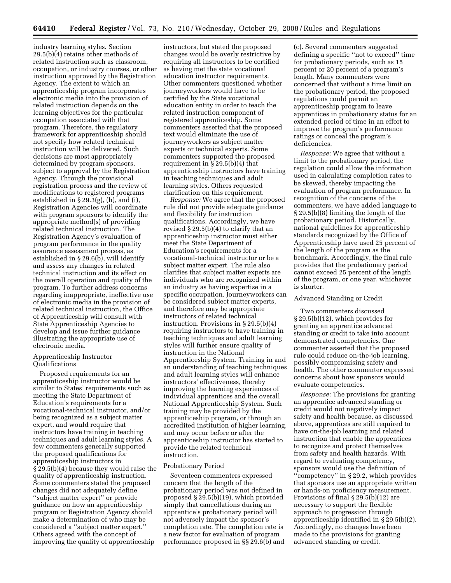industry learning styles. Section 29.5(b)(4) retains other methods of related instruction such as classroom, occupation, or industry courses, or other instruction approved by the Registration Agency. The extent to which an apprenticeship program incorporates electronic media into the provision of related instruction depends on the learning objectives for the particular occupation associated with that program. Therefore, the regulatory framework for apprenticeship should not specify how related technical instruction will be delivered. Such decisions are most appropriately determined by program sponsors, subject to approval by the Registration Agency. Through the provisional registration process and the review of modifications to registered programs established in § 29.3(g), (h), and (i), Registration Agencies will coordinate with program sponsors to identify the appropriate method(s) of providing related technical instruction. The Registration Agency's evaluation of program performance in the quality assurance assessment process, as established in § 29.6(b), will identify and assess any changes in related technical instruction and its effect on the overall operation and quality of the program. To further address concerns regarding inappropriate, ineffective use of electronic media in the provision of related technical instruction, the Office of Apprenticeship will consult with State Apprenticeship Agencies to develop and issue further guidance illustrating the appropriate use of electronic media.

# Apprenticeship Instructor Qualifications

Proposed requirements for an apprenticeship instructor would be similar to States' requirements such as meeting the State Department of Education's requirements for a vocational-technical instructor, and/or being recognized as a subject matter expert, and would require that instructors have training in teaching techniques and adult learning styles. A few commenters generally supported the proposed qualifications for apprenticeship instructors in § 29.5(b)(4) because they would raise the quality of apprenticeship instruction. Some commenters stated the proposed changes did not adequately define ''subject matter expert'' or provide guidance on how an apprenticeship program or Registration Agency should make a determination of who may be considered a ''subject matter expert.'' Others agreed with the concept of improving the quality of apprenticeship

instructors, but stated the proposed changes would be overly restrictive by requiring all instructors to be certified as having met the state vocational education instructor requirements. Other commenters questioned whether journeyworkers would have to be certified by the State vocational education entity in order to teach the related instruction component of registered apprenticeship. Some commenters asserted that the proposed text would eliminate the use of journeyworkers as subject matter experts or technical experts. Some commenters supported the proposed requirement in § 29.5(b)(4) that apprenticeship instructors have training in teaching techniques and adult learning styles. Others requested clarification on this requirement.

*Response:* We agree that the proposed rule did not provide adequate guidance and flexibility for instruction qualifications. Accordingly, we have revised § 29.5(b)(4) to clarify that an apprenticeship instructor must either meet the State Department of Education's requirements for a vocational-technical instructor or be a subject matter expert. The rule also clarifies that subject matter experts are individuals who are recognized within an industry as having expertise in a specific occupation. Journeyworkers can be considered subject matter experts, and therefore may be appropriate instructors of related technical instruction. Provisions in § 29.5(b)(4) requiring instructors to have training in teaching techniques and adult learning styles will further ensure quality of instruction in the National Apprenticeship System. Training in and an understanding of teaching techniques and adult learning styles will enhance instructors' effectiveness, thereby improving the learning experiences of individual apprentices and the overall National Apprenticeship System. Such training may be provided by the apprenticeship program, or through an accredited institution of higher learning, and may occur before or after the apprenticeship instructor has started to provide the related technical instruction.

#### Probationary Period

Seventeen commenters expressed concern that the length of the probationary period was not defined in proposed § 29.5(b)(19), which provided simply that cancellations during an apprentice's probationary period will not adversely impact the sponsor's completion rate. The completion rate is a new factor for evaluation of program performance proposed in §§ 29.6(b) and

(c). Several commenters suggested defining a specific ''not to exceed'' time for probationary periods, such as 15 percent or 20 percent of a program's length. Many commenters were concerned that without a time limit on the probationary period, the proposed regulations could permit an apprenticeship program to leave apprentices in probationary status for an extended period of time in an effort to improve the program's performance ratings or conceal the program's deficiencies.

*Response:* We agree that without a limit to the probationary period, the regulation could allow the information used in calculating completion rates to be skewed, thereby impacting the evaluation of program performance. In recognition of the concerns of the commenters, we have added language to § 29.5(b)(8) limiting the length of the probationary period. Historically, national guidelines for apprenticeship standards recognized by the Office of Apprenticeship have used 25 percent of the length of the program as the benchmark. Accordingly, the final rule provides that the probationary period cannot exceed 25 percent of the length of the program, or one year, whichever is shorter.

#### Advanced Standing or Credit

Two commenters discussed § 29.5(b)(12), which provides for granting an apprentice advanced standing or credit to take into account demonstrated competencies. One commenter asserted that the proposed rule could reduce on-the-job learning, possibly compromising safety and health. The other commenter expressed concerns about how sponsors would evaluate competencies.

*Response:* The provisions for granting an apprentice advanced standing or credit would not negatively impact safety and health because, as discussed above, apprentices are still required to have on-the-job learning and related instruction that enable the apprentices to recognize and protect themselves from safety and health hazards. With regard to evaluating competency, sponsors would use the definition of ''competency'' in § 29.2, which provides that sponsors use an appropriate written or hands-on proficiency measurement. Provisions of final § 29.5(b)(12) are necessary to support the flexible approach to progression through apprenticeship identified in § 29.5(b)(2). Accordingly, no changes have been made to the provisions for granting advanced standing or credit.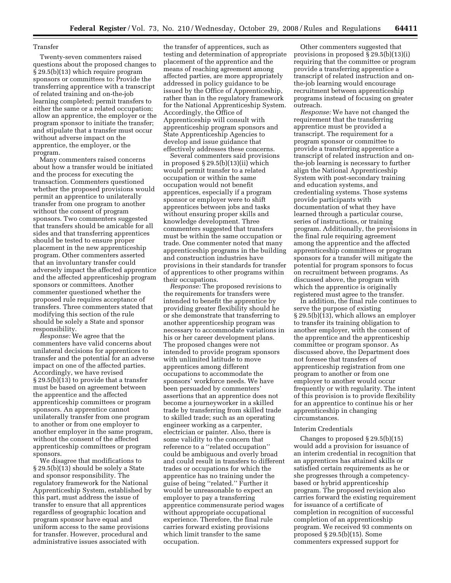# Transfer

Twenty-seven commenters raised questions about the proposed changes to § 29.5(b)(13) which require program sponsors or committees to: Provide the transferring apprentice with a transcript of related training and on-the-job learning completed; permit transfers to either the same or a related occupation; allow an apprentice, the employer or the program sponsor to initiate the transfer; and stipulate that a transfer must occur without adverse impact on the apprentice, the employer, or the program.

Many commenters raised concerns about how a transfer would be initiated and the process for executing the transaction. Commenters questioned whether the proposed provisions would permit an apprentice to unilaterally transfer from one program to another without the consent of program sponsors. Two commenters suggested that transfers should be amicable for all sides and that transferring apprentices should be tested to ensure proper placement in the new apprenticeship program. Other commenters asserted that an involuntary transfer could adversely impact the affected apprentice and the affected apprenticeship program sponsors or committees. Another commenter questioned whether the proposed rule requires acceptance of transfers. Three commenters stated that modifying this section of the rule should be solely a State and sponsor responsibility.

*Response:* We agree that the commenters have valid concerns about unilateral decisions for apprentices to transfer and the potential for an adverse impact on one of the affected parties. Accordingly, we have revised § 29.5(b)(13) to provide that a transfer must be based on agreement between the apprentice and the affected apprenticeship committees or program sponsors. An apprentice cannot unilaterally transfer from one program to another or from one employer to another employer in the same program, without the consent of the affected apprenticeship committees or program sponsors.

We disagree that modifications to § 29.5(b)(13) should be solely a State and sponsor responsibility. The regulatory framework for the National Apprenticeship System, established by this part, must address the issue of transfer to ensure that all apprentices regardless of geographic location and program sponsor have equal and uniform access to the same provisions for transfer. However, procedural and administrative issues associated with

the transfer of apprentices, such as testing and determination of appropriate placement of the apprentice and the means of reaching agreement among affected parties, are more appropriately addressed in policy guidance to be issued by the Office of Apprenticeship, rather than in the regulatory framework for the National Apprenticeship System. Accordingly, the Office of Apprenticeship will consult with apprenticeship program sponsors and State Apprenticeship Agencies to develop and issue guidance that effectively addresses these concerns.

Several commenters said provisions in proposed § 29.5(b)(13)(ii) which would permit transfer to a related occupation or within the same occupation would not benefit apprentices, especially if a program sponsor or employer were to shift apprentices between jobs and tasks without ensuring proper skills and knowledge development. Three commenters suggested that transfers must be within the same occupation or trade. One commenter noted that many apprenticeship programs in the building and construction industries have provisions in their standards for transfer of apprentices to other programs within their occupations.

*Response:* The proposed revisions to the requirements for transfers were intended to benefit the apprentice by providing greater flexibility should he or she demonstrate that transferring to another apprenticeship program was necessary to accommodate variations in his or her career development plans. The proposed changes were not intended to provide program sponsors with unlimited latitude to move apprentices among different occupations to accommodate the sponsors' workforce needs. We have been persuaded by commenters' assertions that an apprentice does not become a journeyworker in a skilled trade by transferring from skilled trade to skilled trade; such as an operating engineer working as a carpenter, electrician or painter. Also, there is some validity to the concern that reference to a ''related occupation'' could be ambiguous and overly broad and could result in transfers to different trades or occupations for which the apprentice has no training under the guise of being ''related.'' Further it would be unreasonable to expect an employer to pay a transferring apprentice commensurate period wages without appropriate occupational experience. Therefore, the final rule carries forward existing provisions which limit transfer to the same occupation.

Other commenters suggested that provisions in proposed § 29.5(b)(13)(i) requiring that the committee or program provide a transferring apprentice a transcript of related instruction and onthe-job learning would encourage recruitment between apprenticeship programs instead of focusing on greater outreach.

*Response:* We have not changed the requirement that the transferring apprentice must be provided a transcript. The requirement for a program sponsor or committee to provide a transferring apprentice a transcript of related instruction and onthe-job learning is necessary to further align the National Apprenticeship System with post-secondary training and education systems, and credentialing systems. Those systems provide participants with documentation of what they have learned through a particular course, series of instructions, or training program. Additionally, the provisions in the final rule requiring agreement among the apprentice and the affected apprenticeship committees or program sponsors for a transfer will mitigate the potential for program sponsors to focus on recruitment between programs. As discussed above, the program with which the apprentice is originally registered must agree to the transfer.

In addition, the final rule continues to serve the purpose of existing § 29.5(b)(13), which allows an employer to transfer its training obligation to another employer, with the consent of the apprentice and the apprenticeship committee or program sponsor. As discussed above, the Department does not foresee that transfers of apprenticeship registration from one program to another or from one employer to another would occur frequently or with regularity. The intent of this provision is to provide flexibility for an apprentice to continue his or her apprenticeship in changing circumstances.

#### Interim Credentials

Changes to proposed § 29.5(b)(15) would add a provision for issuance of an interim credential in recognition that an apprentices has attained skills or satisfied certain requirements as he or she progresses through a competencybased or hybrid apprenticeship program. The proposed revision also carries forward the existing requirement for issuance of a certificate of completion in recognition of successful completion of an apprenticeship program. We received 93 comments on proposed § 29.5(b)(15). Some commenters expressed support for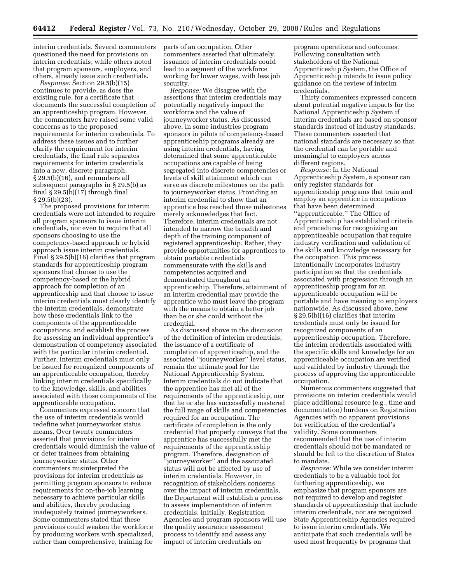interim credentials. Several commenters questioned the need for provisions on interim credentials, while others noted that program sponsors, employers, and others, already issue such credentials.

*Response:* Section 29.5(b)(15) continues to provide, as does the existing rule, for a certificate that documents the successful completion of an apprenticeship program. However, the commenters have raised some valid concerns as to the proposed requirements for interim credentials. To address these issues and to further clarify the requirement for interim credentials, the final rule separates requirements for interim credentials into a new, discrete paragraph, § 29.5(b)(16), and renumbers all subsequent paragraphs in § 29.5(b) as final § 29.5(b)(17) through final § 29.5(b)(23).

The proposed provisions for interim credentials were not intended to require all program sponsors to issue interim credentials, nor even to require that all sponsors choosing to use the competency-based approach or hybrid approach issue interim credentials. Final § 29.5(b)(16) clarifies that program standards for apprenticeship program sponsors that choose to use the competency-based or the hybrid approach for completion of an apprenticeship and that choose to issue interim credentials must clearly identify the interim credentials, demonstrate how these credentials link to the components of the apprenticeable occupations, and establish the process for assessing an individual apprentice's demonstration of competency associated with the particular interim credential. Further, interim credentials must only be issued for recognized components of an apprenticeable occupation, thereby linking interim credentials specifically to the knowledge, skills, and abilities associated with those components of the apprenticeable occupation.

Commenters expressed concern that the use of interim credentials would redefine what journeyworker status means. Over twenty commenters asserted that provisions for interim credentials would diminish the value of or deter trainees from obtaining journeyworker status. Other commenters misinterpreted the provisions for interim credentials as permitting program sponsors to reduce requirements for on-the-job learning necessary to achieve particular skills and abilities, thereby producing inadequately trained journeyworkers. Some commenters stated that these provisions could weaken the workforce by producing workers with specialized, rather than comprehensive, training for

parts of an occupation. Other commenters asserted that ultimately, issuance of interim credentials could lead to a segment of the workforce working for lower wages, with less job security.

*Response:* We disagree with the assertions that interim credentials may potentially negatively impact the workforce and the value of journeyworker status. As discussed above, in some industries program sponsors in pilots of competency-based apprenticeship programs already are using interim credentials, having determined that some apprenticeable occupations are capable of being segregated into discrete competencies or levels of skill attainment which can serve as discrete milestones on the path to journeyworker status. Providing an interim credential to show that an apprentice has reached those milestones merely acknowledges that fact. Therefore, interim credentials are not intended to narrow the breadth and depth of the training component of registered apprenticeship. Rather, they provide opportunities for apprentices to obtain portable credentials commensurate with the skills and competencies acquired and demonstrated throughout an apprenticeship. Therefore, attainment of an interim credential may provide the apprentice who must leave the program with the means to obtain a better job than he or she could without the credential.

As discussed above in the discussion of the definition of interim credentials, the issuance of a certificate of completion of apprenticeship, and the associated ''journeyworker'' level status, remain the ultimate goal for the National Apprenticeship System. Interim credentials do not indicate that the apprentice has met all of the requirements of the apprenticeship, nor that he or she has successfully mastered the full range of skills and competencies required for an occupation. The certificate of completion is the only credential that properly conveys that the apprentice has successfully met the requirements of the apprenticeship program. Therefore, designation of ''journeyworker'' and the associated status will not be affected by use of interim credentials. However, in recognition of stakeholders concerns over the impact of interim credentials, the Department will establish a process to assess implementation of interim credentials. Initially, Registration Agencies and program sponsors will use the quality assurance assessment process to identify and assess any impact of interim credentials on

program operations and outcomes. Following consultation with stakeholders of the National Apprenticeship System, the Office of Apprenticeship intends to issue policy guidance on the review of interim credentials.

Thirty commenters expressed concern about potential negative impacts for the National Apprenticeship System if interim credentials are based on sponsor standards instead of industry standards. These commenters asserted that national standards are necessary so that the credential can be portable and meaningful to employers across different regions.

*Response:* In the National Apprenticeship System, a sponsor can only register standards for apprenticeship programs that train and employ an apprentice in occupations that have been determined ''apprenticeable.'' The Office of Apprenticeship has established criteria and procedures for recognizing an apprenticeable occupation that require industry verification and validation of the skills and knowledge necessary for the occupation. This process intentionally incorporates industry participation so that the credentials associated with progression through an apprenticeship program for an apprenticeable occupation will be portable and have meaning to employers nationwide. As discussed above, new § 29.5(b)(16) clarifies that interim credentials must only be issued for recognized components of an apprenticeship occupation. Therefore, the interim credentials associated with the specific skills and knowledge for an apprenticeable occupation are verified and validated by industry through the process of approving the apprenticeable occupation.

Numerous commenters suggested that provisions on interim credentials would place additional resource (e.g., time and documentation) burdens on Registration Agencies with no apparent provisions for verification of the credential's validity. Some commenters recommended that the use of interim credentials should not be mandated or should be left to the discretion of States to mandate.

*Response:* While we consider interim credentials to be a valuable tool for furthering apprenticeship, we emphasize that program sponsors are not required to develop and register standards of apprenticeship that include interim credentials, nor are recognized State Apprenticeship Agencies required to issue interim credentials. We anticipate that such credentials will be used most frequently by programs that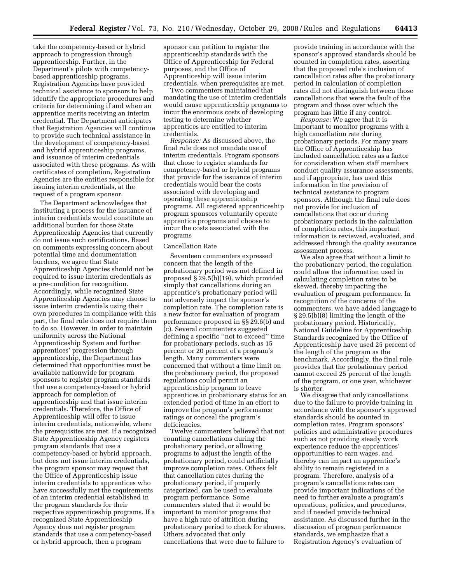take the competency-based or hybrid approach to progression through apprenticeship. Further, in the Department's pilots with competencybased apprenticeship programs, Registration Agencies have provided technical assistance to sponsors to help identify the appropriate procedures and criteria for determining if and when an apprentice merits receiving an interim credential. The Department anticipates that Registration Agencies will continue to provide such technical assistance in the development of competency-based and hybrid apprenticeship programs, and issuance of interim credentials associated with these programs. As with certificates of completion, Registration Agencies are the entities responsible for issuing interim credentials, at the request of a program sponsor.

The Department acknowledges that instituting a process for the issuance of interim credentials would constitute an additional burden for those State Apprenticeship Agencies that currently do not issue such certifications. Based on comments expressing concern about potential time and documentation burdens, we agree that State Apprenticeship Agencies should not be required to issue interim credentials as a pre-condition for recognition. Accordingly, while recognized State Apprenticeship Agencies may choose to issue interim credentials using their own procedures in compliance with this part, the final rule does not require them to do so. However, in order to maintain uniformity across the National Apprenticeship System and further apprentices' progression through apprenticeship, the Department has determined that opportunities must be available nationwide for program sponsors to register program standards that use a competency-based or hybrid approach for completion of apprenticeship and that issue interim credentials. Therefore, the Office of Apprenticeship will offer to issue interim credentials, nationwide, where the prerequisites are met. If a recognized State Apprenticeship Agency registers program standards that use a competency-based or hybrid approach, but does not issue interim credentials, the program sponsor may request that the Office of Apprenticeship issue interim credentials to apprentices who have successfully met the requirements of an interim credential established in the program standards for their respective apprenticeship programs. If a recognized State Apprenticeship Agency does not register program standards that use a competency-based or hybrid approach, then a program

sponsor can petition to register the apprenticeship standards with the Office of Apprenticeship for Federal purposes, and the Office of Apprenticeship will issue interim credentials, when prerequisites are met.

Two commenters maintained that mandating the use of interim credentials would cause apprenticeship programs to incur the enormous costs of developing testing to determine whether apprentices are entitled to interim credentials.

*Response:* As discussed above, the final rule does not mandate use of interim credentials. Program sponsors that chose to register standards for competency-based or hybrid programs that provide for the issuance of interim credentials would bear the costs associated with developing and operating these apprenticeship programs. All registered apprenticeship program sponsors voluntarily operate apprentice programs and choose to incur the costs associated with the programs

#### Cancellation Rate

Seventeen commenters expressed concern that the length of the probationary period was not defined in proposed § 29.5(b)(19), which provided simply that cancellations during an apprentice's probationary period will not adversely impact the sponsor's completion rate. The completion rate is a new factor for evaluation of program performance proposed in §§ 29.6(b) and (c). Several commenters suggested defining a specific ''not to exceed'' time for probationary periods, such as 15 percent or 20 percent of a program's length. Many commenters were concerned that without a time limit on the probationary period, the proposed regulations could permit an apprenticeship program to leave apprentices in probationary status for an extended period of time in an effort to improve the program's performance ratings or conceal the program's deficiencies.

Twelve commenters believed that not counting cancellations during the probationary period, or allowing programs to adjust the length of the probationary period, could artificially improve completion rates. Others felt that cancellation rates during the probationary period, if properly categorized, can be used to evaluate program performance. Some commenters stated that it would be important to monitor programs that have a high rate of attrition during probationary period to check for abuses. Others advocated that only cancellations that were due to failure to

provide training in accordance with the sponsor's approved standards should be counted in completion rates, asserting that the proposed rule's inclusion of cancellation rates after the probationary period in calculation of completion rates did not distinguish between those cancellations that were the fault of the program and those over which the program has little if any control.

*Response:* We agree that it is important to monitor programs with a high cancellation rate during probationary periods. For many years the Office of Apprenticeship has included cancellation rates as a factor for consideration when staff members conduct quality assurance assessments, and if appropriate, has used this information in the provision of technical assistance to program sponsors. Although the final rule does not provide for inclusion of cancellations that occur during probationary periods in the calculation of completion rates, this important information is reviewed, evaluated, and addressed through the quality assurance assessment process.

We also agree that without a limit to the probationary period, the regulation could allow the information used in calculating completion rates to be skewed, thereby impacting the evaluation of program performance. In recognition of the concerns of the commenters, we have added language to § 29.5(b)(8) limiting the length of the probationary period. Historically, National Guideline for Apprenticeship Standards recognized by the Office of Apprenticeship have used 25 percent of the length of the program as the benchmark. Accordingly, the final rule provides that the probationary period cannot exceed 25 percent of the length of the program, or one year, whichever is shorter.

We disagree that only cancellations due to the failure to provide training in accordance with the sponsor's approved standards should be counted in completion rates. Program sponsors' policies and administrative procedures such as not providing steady work experience reduce the apprentices' opportunities to earn wages, and thereby can impact an apprentice's ability to remain registered in a program. Therefore, analysis of a program's cancellations rates can provide important indications of the need to further evaluate a program's operations, policies, and procedures, and if needed provide technical assistance. As discussed further in the discussion of program performance standards, we emphasize that a Registration Agency's evaluation of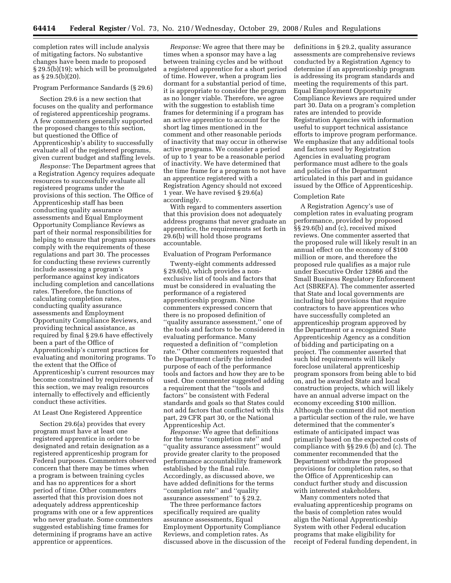completion rates will include analysis of mitigating factors. No substantive changes have been made to proposed § 29.5(b)(19); which will be promulgated as § 29.5(b)(20).

# Program Performance Sandards (§ 29.6)

Section 29.6 is a new section that focuses on the quality and performance of registered apprenticeship programs. A few commenters generally supported the proposed changes to this section, but questioned the Office of Apprenticeship's ability to successfully evaluate all of the registered programs, given current budget and staffing levels.

*Response:* The Department agrees that a Registration Agency requires adequate resources to successfully evaluate all registered programs under the provisions of this section. The Office of Apprenticeship staff has been conducting quality assurance assessments and Equal Employment Opportunity Compliance Reviews as part of their normal responsibilities for helping to ensure that program sponsors comply with the requirements of these regulations and part 30. The processes for conducting these reviews currently include assessing a program's performance against key indicators including completion and cancellations rates. Therefore, the functions of calculating completion rates, conducting quality assurance assessments and Employment Opportunity Compliance Reviews, and providing technical assistance, as required by final § 29.6 have effectively been a part of the Office of Apprenticeship's current practices for evaluating and monitoring programs. To the extent that the Office of Apprenticeship's current resources may become constrained by requirements of this section, we may realign resources internally to effectively and efficiently conduct these activities.

#### At Least One Registered Apprentice

Section 29.6(a) provides that every program must have at least one registered apprentice in order to be designated and retain designation as a registered apprenticeship program for Federal purposes. Commenters observed concern that there may be times when a program is between training cycles and has no apprentices for a short period of time. Other commenters asserted that this provision does not adequately address apprenticeship programs with one or a few apprentices who never graduate. Some commenters suggested establishing time frames for determining if programs have an active apprentice or apprentices.

*Response:* We agree that there may be times when a sponsor may have a lag between training cycles and be without a registered apprentice for a short period of time. However, when a program lies dormant for a substantial period of time, it is appropriate to consider the program as no longer viable. Therefore, we agree with the suggestion to establish time frames for determining if a program has an active apprentice to account for the short lag times mentioned in the comment and other reasonable periods of inactivity that may occur in otherwise active programs. We consider a period of up to 1 year to be a reasonable period of inactivity. We have determined that the time frame for a program to not have an apprentice registered with a Registration Agency should not exceed 1 year. We have revised § 29.6(a) accordingly.

With regard to commenters assertion that this provision does not adequately address programs that never graduate an apprentice, the requirements set forth in 29.6(b) will hold those programs accountable.

#### Evaluation of Program Performance

Twenty-eight comments addressed § 29.6(b), which provides a nonexclusive list of tools and factors that must be considered in evaluating the performance of a registered apprenticeship program. Nine commenters expressed concern that there is no proposed definition of ''quality assurance assessment,'' one of the tools and factors to be considered in evaluating performance. Many requested a definition of ''completion rate.'' Other commenters requested that the Department clarify the intended purpose of each of the performance tools and factors and how they are to be used. One commenter suggested adding a requirement that the ''tools and factors'' be consistent with Federal standards and goals so that States could not add factors that conflicted with this part, 29 CFR part 30, or the National Apprenticeship Act.

*Response:* We agree that definitions for the terms ''completion rate'' and ''quality assurance assessment'' would provide greater clarity to the proposed performance accountability framework established by the final rule. Accordingly, as discussed above, we have added definitions for the terms ''completion rate'' and ''quality assurance assessment'' to § 29.2.

The three performance factors specifically required are quality assurance assessments, Equal Employment Opportunity Compliance Reviews, and completion rates. As discussed above in the discussion of the

definitions in § 29.2, quality assurance assessments are comprehensive reviews conducted by a Registration Agency to determine if an apprenticeship program is addressing its program standards and meeting the requirements of this part. Equal Employment Opportunity Compliance Reviews are required under part 30. Data on a program's completion rates are intended to provide Registration Agencies with information useful to support technical assistance efforts to improve program performance. We emphasize that any additional tools and factors used by Registration Agencies in evaluating program performance must adhere to the goals and policies of the Department articulated in this part and in guidance issued by the Office of Apprenticeship.

# Completion Rate

A Registration Agency's use of completion rates in evaluating program performance, provided by proposed §§ 29.6(b) and (c), received mixed reviews. One commenter asserted that the proposed rule will likely result in an annual effect on the economy of \$100 million or more, and therefore the proposed rule qualifies as a major rule under Executive Order 12866 and the Small Business Regulatory Enforcement Act (SBREFA). The commenter asserted that State and local governments are including bid provisions that require contractors to have apprentices who have successfully completed an apprenticeship program approved by the Department or a recognized State Apprenticeship Agency as a condition of bidding and participating on a project. The commenter asserted that such bid requirements will likely foreclose unilateral apprenticeship program sponsors from being able to bid on, and be awarded State and local construction projects, which will likely have an annual adverse impact on the economy exceeding \$100 million. Although the comment did not mention a particular section of the rule, we have determined that the commenter's estimate of anticipated impact was primarily based on the expected costs of compliance with §§ 29.6 (b) and (c). The commenter recommended that the Department withdraw the proposed provisions for completion rates, so that the Office of Apprenticeship can conduct further study and discussion with interested stakeholders.

Many commenters noted that evaluating apprenticeship programs on the basis of completion rates would align the National Apprenticeship System with other Federal education programs that make eligibility for receipt of Federal funding dependent, in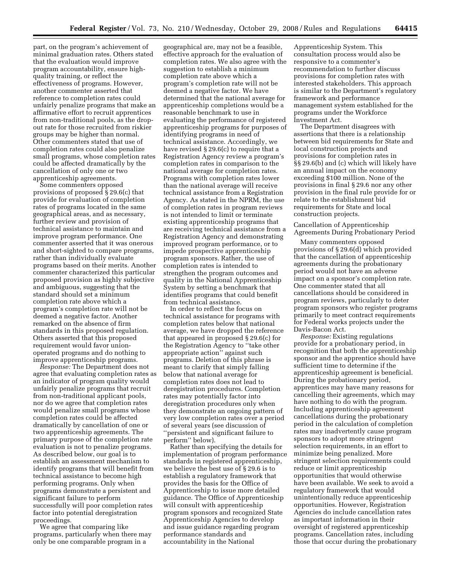part, on the program's achievement of minimal graduation rates. Others stated that the evaluation would improve program accountability, ensure highquality training, or reflect the effectiveness of programs. However, another commenter asserted that reference to completion rates could unfairly penalize programs that make an affirmative effort to recruit apprentices from non-traditional pools, as the dropout rate for those recruited from riskier groups may be higher than normal. Other commenters stated that use of completion rates could also penalize small programs, whose completion rates could be affected dramatically by the cancellation of only one or two apprenticeship agreements.

Some commenters opposed provisions of proposed § 29.6(c) that provide for evaluation of completion rates of programs located in the same geographical areas, and as necessary, further review and provision of technical assistance to maintain and improve program performance. One commenter asserted that it was onerous and short-sighted to compare programs, rather than individually evaluate programs based on their merits. Another commenter characterized this particular proposed provision as highly subjective and ambiguous, suggesting that the standard should set a minimum completion rate above which a program's completion rate will not be deemed a negative factor. Another remarked on the absence of firm standards in this proposed regulation. Others asserted that this proposed requirement would favor unionoperated programs and do nothing to improve apprenticeship programs.

*Response:* The Department does not agree that evaluating completion rates as an indicator of program quality would unfairly penalize programs that recruit from non-traditional applicant pools, nor do we agree that completion rates would penalize small programs whose completion rates could be affected dramatically by cancellation of one or two apprenticeship agreements. The primary purpose of the completion rate evaluation is not to penalize programs. As described below, our goal is to establish an assessment mechanism to identify programs that will benefit from technical assistance to become high performing programs. Only when programs demonstrate a persistent and significant failure to perform successfully will poor completion rates factor into potential deregistration proceedings.

We agree that comparing like programs, particularly when there may only be one comparable program in a

geographical are, may not be a feasible, effective approach for the evaluation of completion rates. We also agree with the suggestion to establish a minimum completion rate above which a program's completion rate will not be deemed a negative factor. We have determined that the national average for apprenticeship completions would be a reasonable benchmark to use in evaluating the performance of registered apprenticeship programs for purposes of identifying programs in need of technical assistance. Accordingly, we have revised § 29.6(c) to require that a Registration Agency review a program's completion rates in comparison to the national average for completion rates. Programs with completion rates lower than the national average will receive technical assistance from a Registration Agency. As stated in the NPRM, the use of completion rates in program reviews is not intended to limit or terminate existing apprenticeship programs that are receiving technical assistance from a Registration Agency and demonstrating improved program performance, or to impede prospective apprenticeship program sponsors. Rather, the use of completion rates is intended to strengthen the program outcomes and quality in the National Apprenticeship System by setting a benchmark that identifies programs that could benefit from technical assistance.

In order to reflect the focus on technical assistance for programs with completion rates below that national average, we have dropped the reference that appeared in proposed § 29.6(c) for the Registration Agency to ''take other appropriate action'' against such programs. Deletion of this phrase is meant to clarify that simply falling below that national average for completion rates does not lead to deregistration procedures. Completion rates may potentially factor into deregistration procedures only when they demonstrate an ongoing pattern of very low completion rates over a period of several years (see discussion of ''persistent and significant failure to perform'' below).

Rather than specifying the details for implementation of program performance standards in registered apprenticeship, we believe the best use of § 29.6 is to establish a regulatory framework that provides the basis for the Office of Apprenticeship to issue more detailed guidance. The Office of Apprenticeship will consult with apprenticeship program sponsors and recognized State Apprenticeship Agencies to develop and issue guidance regarding program performance standards and accountability in the National

Apprenticeship System. This consultation process would also be responsive to a commenter's recommendation to further discuss provisions for completion rates with interested stakeholders. This approach is similar to the Department's regulatory framework and performance management system established for the programs under the Workforce Investment Act.

The Department disagrees with assertions that there is a relationship between bid requirements for State and local construction projects and provisions for completion rates in §§ 29.6(b) and (c) which will likely have an annual impact on the economy exceeding \$100 million. None of the provisions in final § 29.6 nor any other provision in the final rule provide for or relate to the establishment bid requirements for State and local construction projects.

# Cancellation of Apprenticeship Agreements During Probationary Period

Many commenters opposed provisions of § 29.6(d) which provided that the cancellation of apprenticeship agreements during the probationary period would not have an adverse impact on a sponsor's completion rate. One commenter stated that all cancellations should be considered in program reviews, particularly to deter program sponsors who register programs primarily to meet contract requirements for Federal works projects under the Davis-Bacon Act.

*Response:* Existing regulations provide for a probationary period, in recognition that both the apprenticeship sponsor and the apprentice should have sufficient time to determine if the apprenticeship agreement is beneficial. During the probationary period, apprentices may have many reasons for cancelling their agreements, which may have nothing to do with the program. Including apprenticeship agreement cancellations during the probationary period in the calculation of completion rates may inadvertently cause program sponsors to adopt more stringent selection requirements, in an effort to minimize being penalized. More stringent selection requirements could reduce or limit apprenticeship opportunities that would otherwise have been available. We seek to avoid a regulatory framework that would unintentionally reduce apprenticeship opportunities. However, Registration Agencies do include cancellation rates as important information in their oversight of registered apprenticeship programs. Cancellation rates, including those that occur during the probationary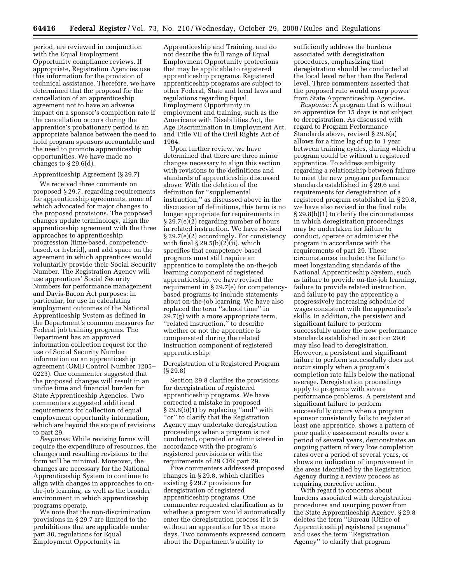period, are reviewed in conjunction with the Equal Employment Opportunity compliance reviews. If appropriate, Registration Agencies use this information for the provision of technical assistance. Therefore, we have determined that the proposal for the cancellation of an apprenticeship agreement not to have an adverse impact on a sponsor's completion rate if the cancellation occurs during the apprentice's probationary period is an appropriate balance between the need to hold program sponsors accountable and the need to promote apprenticeship opportunities. We have made no changes to § 29.6(d).

#### Apprenticeship Agreement (§ 29.7)

We received three comments on proposed § 29.7, regarding requirements for apprenticeship agreements, none of which advocated for major changes to the proposed provisions. The proposed changes update terminology, align the apprenticeship agreement with the three approaches to apprenticeship progression (time-based, competencybased, or hybrid), and add space on the agreement in which apprentices would voluntarily provide their Social Security Number. The Registration Agency will use apprentices' Social Security Numbers for performance management and Davis-Bacon Act purposes; in particular, for use in calculating employment outcomes of the National Apprenticeship System as defined in the Department's common measures for Federal job training programs. The Department has an approved information collection request for the use of Social Security Number information on an apprenticeship agreement (OMB Control Number 1205– 0223). One commenter suggested that the proposed changes will result in an undue time and financial burden for State Apprenticeship Agencies. Two commenters suggested additional requirements for collection of equal employment opportunity information, which are beyond the scope of revisions to part 29.

*Response:* While revising forms will require the expenditure of resources, the changes and resulting revisions to the form will be minimal. Moreover, the changes are necessary for the National Apprenticeship System to continue to align with changes in approaches to onthe-job learning, as well as the broader environment in which apprenticeship programs operate.

We note that the non-discrimination provisions in § 29.7 are limited to the prohibitions that are applicable under part 30, regulations for Equal Employment Opportunity in

Apprenticeship and Training, and do not describe the full range of Equal Employment Opportunity protections that may be applicable to registered apprenticeship programs. Registered apprenticeship programs are subject to other Federal, State and local laws and regulations regarding Equal Employment Opportunity in employment and training, such as the Americans with Disabilities Act, the Age Discrimination in Employment Act, and Title VII of the Civil Rights Act of 1964.

Upon further review, we have determined that there are three minor changes necessary to align this section with revisions to the definitions and standards of apprenticeship discussed above. With the deletion of the definition for ''supplemental instruction,'' as discussed above in the discussion of definitions, this term is no longer appropriate for requirements in § 29.7(e)(2) regarding number of hours in related instruction. We have revised § 29.7(e)(2) accordingly. For consistency with final  $\S 29.5(b)(2)(ii)$ , which specifies that competency-based programs must still require an apprentice to complete the on-the-job learning component of registered apprenticeship, we have revised the requirement in § 29.7(e) for competencybased programs to include statements about on-the-job learning. We have also replaced the term ''school time'' in 29.7(g) with a more appropriate term, ''related instruction,'' to describe whether or not the apprentice is compensated during the related instruction component of registered apprenticeship.

Deregistration of a Registered Program (§ 29.8)

Section 29.8 clarifies the provisions for deregistration of registered apprenticeship programs. We have corrected a mistake in proposed § 29.8(b)(1) by replacing ''and'' with ''or'' to clarify that the Registration Agency may undertake deregistration proceedings when a program is not conducted, operated *or* administered in accordance with the program's registered provisions or with the requirements of 29 CFR part 29.

Five commenters addressed proposed changes in § 29.8, which clarifies existing § 29.7 provisions for deregistration of registered apprenticeship programs. One commenter requested clarification as to whether a program would automatically enter the deregistration process if it is without an apprentice for 15 or more days. Two comments expressed concern about the Department's ability to

sufficiently address the burdens associated with deregistration procedures, emphasizing that deregistration should be conducted at the local level rather than the Federal level. Three commenters asserted that the proposed rule would usurp power from State Apprenticeship Agencies.

*Response:* A program that is without an apprentice for 15 days is not subject to deregistration. As discussed with regard to Program Performance Standards above, revised § 29.6(a) allows for a time lag of up to 1 year between training cycles, during which a program could be without a registered apprentice. To address ambiguity regarding a relationship between failure to meet the new program performance standards established in § 29.6 and requirements for deregistration of a registered program established in § 29.8, we have also revised in the final rule § 29.8(b)(1) to clarify the circumstances in which deregistration proceedings may be undertaken for failure to conduct, operate or administer the program in accordance with the requirements of part 29. These circumstances include: the failure to meet longstanding standards of the National Apprenticeship System, such as failure to provide on-the-job learning, failure to provide related instruction, and failure to pay the apprentice a progressively increasing schedule of wages consistent with the apprentice's skills. In addition, the persistent and significant failure to perform successfully under the new performance standards established in section 29.6 may also lead to deregistration. However, a persistent and significant failure to perform successfully does not occur simply when a program's completion rate falls below the national average. Deregistration proceedings apply to programs with severe performance problems. A persistent and significant failure to perform successfully occurs when a program sponsor consistently fails to register at least one apprentice, shows a pattern of poor quality assessment results over a period of several years, demonstrates an ongoing pattern of very low completion rates over a period of several years, or shows no indication of improvement in the areas identified by the Registration Agency during a review process as requiring corrective action.

With regard to concerns about burdens associated with deregistration procedures and usurping power from the State Apprenticeship Agency, § 29.8 deletes the term ''Bureau (Office of Apprenticeship) registered programs'' and uses the term ''Registration Agency'' to clarify that program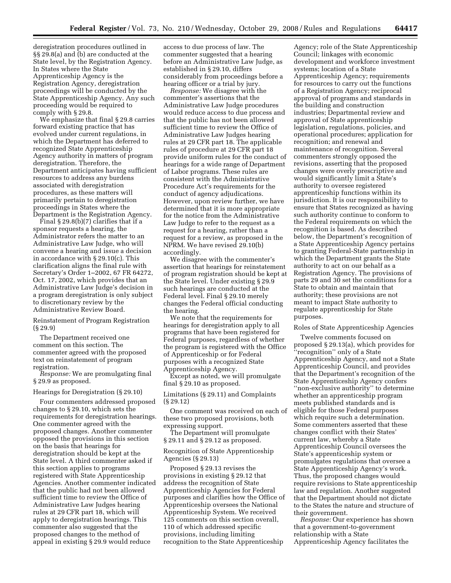deregistration procedures outlined in §§ 29.8(a) and (b) are conducted at the State level, by the Registration Agency. In States where the State Apprenticeship Agency is the Registration Agency, deregistration proceedings will be conducted by the State Apprenticeship Agency. Any such proceeding would be required to comply with § 29.8.

We emphasize that final § 29.8 carries forward existing practice that has evolved under current regulations, in which the Department has deferred to recognized State Apprenticeship Agency authority in matters of program deregistration. Therefore, the Department anticipates having sufficient resources to address any burdens associated with deregistration procedures, as these matters will primarily pertain to deregistration proceedings in States where the Department is the Registration Agency.

Final  $\S 29.8(b)(7)$  clarifies that if a sponsor requests a hearing, the Administrator refers the matter to an Administrative Law Judge, who will convene a hearing and issue a decision in accordance with § 29.10(c). This clarification aligns the final rule with Secretary's Order 1–2002, 67 FR 64272, Oct. 17, 2002, which provides that an Administrative Law Judge's decision in a program deregistration is only subject to discretionary review by the Administrative Review Board.

Reinstatement of Program Registration (§ 29.9)

The Department received one comment on this section. The commenter agreed with the proposed text on reinstatement of program registration.

*Response:* We are promulgating final § 29.9 as proposed.

Hearings for Deregistration (§ 29.10)

Four commenters addressed proposed changes to § 29.10, which sets the requirements for deregistration hearings. One commenter agreed with the proposed changes. Another commenter opposed the provisions in this section on the basis that hearings for deregistration should be kept at the State level. A third commenter asked if this section applies to programs registered with State Apprenticeship Agencies. Another commenter indicated that the public had not been allowed sufficient time to review the Office of Administrative Law Judges hearing rules at 29 CFR part 18, which will apply to deregistration hearings. This commenter also suggested that the proposed changes to the method of appeal in existing § 29.9 would reduce

access to due process of law. The commenter suggested that a hearing before an Administrative Law Judge, as established in § 29.10, differs considerably from proceedings before a hearing officer or a trial by jury.

*Response:* We disagree with the commenter's assertions that the Administrative Law Judge procedures would reduce access to due process and that the public has not been allowed sufficient time to review the Office of Administrative Law Judges hearing rules at 29 CFR part 18. The applicable rules of procedure at 29 CFR part 18 provide uniform rules for the conduct of hearings for a wide range of Department of Labor programs. These rules are consistent with the Administrative Procedure Act's requirements for the conduct of agency adjudications. However, upon review further, we have determined that it is more appropriate for the notice from the Administrative Law Judge to refer to the request as a request for a hearing, rather than a request for a review, as proposed in the NPRM. We have revised 29.10(b) accordingly.

We disagree with the commenter's assertion that hearings for reinstatement of program registration should be kept at the State level. Under existing § 29.9 such hearings are conducted at the Federal level. Final § 29.10 merely changes the Federal official conducting the hearing.

We note that the requirements for hearings for deregistration apply to all programs that have been registered for Federal purposes, regardless of whether the program is registered with the Office of Apprenticeship or for Federal purposes with a recognized State Apprenticeship Agency.

Except as noted, we will promulgate final § 29.10 as proposed.

Limitations (§ 29.11) and Complaints (§ 29.12)

One comment was received on each of these two proposed provisions, both expressing support.

The Department will promulgate § 29.11 and § 29.12 as proposed.

Recognition of State Apprenticeship Agencies (§ 29.13)

Proposed § 29.13 revises the provisions in existing § 29.12 that address the recognition of State Apprenticeship Agencies for Federal purposes and clarifies how the Office of Apprenticeship oversees the National Apprenticeship System. We received 125 comments on this section overall, 110 of which addressed specific provisions, including limiting recognition to the State Apprenticeship

Agency; role of the State Apprenticeship Council; linkages with economic development and workforce investment systems; location of a State Apprenticeship Agency; requirements for resources to carry out the functions of a Registration Agency; reciprocal approval of programs and standards in the building and construction industries; Departmental review and approval of State apprenticeship legislation, regulations, policies, and operational procedures; application for recognition; and renewal and maintenance of recognition. Several commenters strongly opposed the revisions, asserting that the proposed changes were overly prescriptive and would significantly limit a State's authority to oversee registered apprenticeship functions within its jurisdiction. It is our responsibility to ensure that States recognized as having such authority continue to conform to the Federal requirements on which the recognition is based. As described below, the Department's recognition of a State Apprenticeship Agency pertains to granting Federal-State partnership in which the Department grants the State authority to act on our behalf as a Registration Agency. The provisions of parts 29 and 30 set the conditions for a State to obtain and maintain that authority; these provisions are not meant to impact State authority to regulate apprenticeship for State purposes.

Roles of State Apprenticeship Agencies

Twelve comments focused on proposed § 29.13(a), which provides for ''recognition'' only of a State Apprenticeship Agency, and not a State Apprenticeship Council, and provides that the Department's recognition of the State Apprenticeship Agency confers ''non-exclusive authority'' to determine whether an apprenticeship program meets published standards and is eligible for those Federal purposes which require such a determination. Some commenters asserted that these changes conflict with their States' current law, whereby a State Apprenticeship Council oversees the State's apprenticeship system or promulgates regulations that oversee a State Apprenticeship Agency's work. Thus, the proposed changes would require revisions to State apprenticeship law and regulation. Another suggested that the Department should not dictate to the States the nature and structure of their government.

*Response:* Our experience has shown that a government-to-government relationship with a State Apprenticeship Agency facilitates the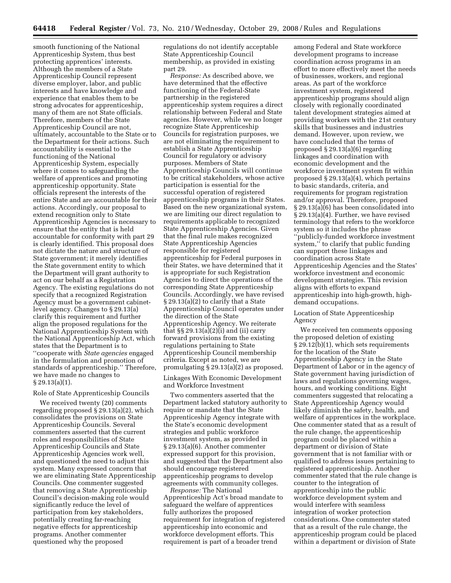smooth functioning of the National Apprenticeship System, thus best protecting apprentices' interests. Although the members of a State Apprenticeship Council represent diverse employer, labor, and public interests and have knowledge and experience that enables them to be strong advocates for apprenticeship, many of them are not State officials. Therefore, members of the State Apprenticeship Council are not, ultimately, accountable to the State or to the Department for their actions. Such accountability is essential to the functioning of the National Apprenticeship System, especially where it comes to safeguarding the welfare of apprentices and promoting apprenticeship opportunity. State officials represent the interests of the entire State and are accountable for their actions. Accordingly, our proposal to extend recognition only to State Apprenticeship Agencies is necessary to ensure that the entity that is held accountable for conformity with part 29 is clearly identified. This proposal does not dictate the nature and structure of State government; it merely identifies the State government entity to which the Department will grant authority to act on our behalf as a Registration Agency. The existing regulations do not specify that a recognized Registration Agency must be a government cabinetlevel agency. Changes to § 29.13(a) clarify this requirement and further align the proposed regulations for the National Apprenticeship System with the National Apprenticeship Act, which states that the Department is to ''cooperate with *State agencies* engaged in the formulation and promotion of standards of apprenticeship.'' Therefore, we have made no changes to § 29.13(a)(1).

#### Role of State Apprenticeship Councils

We received twenty (20) comments regarding proposed § 29.13(a)(2), which consolidates the provisions on State Apprenticeship Councils. Several commenters asserted that the current roles and responsibilities of State Apprenticeship Councils and State Apprenticeship Agencies work well, and questioned the need to adjust this system. Many expressed concern that we are eliminating State Apprenticeship Councils. One commenter suggested that removing a State Apprenticeship Council's decision-making role would significantly reduce the level of participation from key stakeholders, potentially creating far-reaching negative effects for apprenticeship programs. Another commenter questioned why the proposed

regulations do not identify acceptable State Apprenticeship Council membership, as provided in existing part 29.

*Response:* As described above, we have determined that the effective functioning of the Federal-State partnership in the registered apprenticeship system requires a direct relationship between Federal and State agencies. However, while we no longer recognize State Apprenticeship Councils for registration purposes, we are not eliminating the requirement to establish a State Apprenticeship Council for regulatory or advisory purposes. Members of State Apprenticeship Councils will continue to be critical stakeholders, whose active participation is essential for the successful operation of registered apprenticeship programs in their States. Based on the new organizational system, we are limiting our direct regulation to requirements applicable to recognized State Apprenticeship Agencies. Given that the final rule makes recognized State Apprenticeship Agencies responsible for registered apprenticeship for Federal purposes in their States, we have determined that it is appropriate for such Registration Agencies to direct the operations of the corresponding State Apprenticeship Councils. Accordingly, we have revised § 29.13(a)(2) to clarify that a State Apprenticeship Council operates under the direction of the State Apprenticeship Agency. We reiterate that  $\S\S 29.13(a)(2)$ (i) and (ii) carry forward provisions from the existing regulations pertaining to State Apprenticeship Council membership criteria. Except as noted, we are promulgating § 29.13(a)(2) as proposed.

Linkages With Economic Development and Workforce Investment

Two commenters asserted that the Department lacked statutory authority to require or mandate that the State Apprenticeship Agency integrate with the State's economic development strategies and public workforce investment system, as provided in § 29.13(a)(6). Another commenter expressed support for this provision, and suggested that the Department also should encourage registered apprenticeship programs to develop agreements with community colleges.

*Response:* The National Apprenticeship Act's broad mandate to safeguard the welfare of apprentices fully authorizes the proposed requirement for integration of registered apprenticeship into economic and workforce development efforts. This requirement is part of a broader trend

among Federal and State workforce development programs to increase coordination across programs in an effort to more effectively meet the needs of businesses, workers, and regional areas. As part of the workforce investment system, registered apprenticeship programs should align closely with regionally coordinated talent development strategies aimed at providing workers with the 21st century skills that businesses and industries demand. However, upon review, we have concluded that the terms of proposed § 29.13(a)(6) regarding linkages and coordination with economic development and the workforce investment system fit within proposed § 29.13(a)(4), which pertains to basic standards, criteria, and requirements for program registration and/or approval. Therefore, proposed § 29.13(a)(6) has been consolidated into § 29.13(a)(4). Further, we have revised terminology that refers to the workforce system so it includes the phrase ''publicly-funded workforce investment system,'' to clarify that public funding can support these linkages and coordination across State Apprenticeship Agencies and the States' workforce investment and economic development strategies. This revision aligns with efforts to expand apprenticeship into high-growth, highdemand occupations.

# Location of State Apprenticeship Agency

We received ten comments opposing the proposed deletion of existing § 29.12(b)(1), which sets requirements for the location of the State Apprenticeship Agency in the State Department of Labor or in the agency of State government having jurisdiction of laws and regulations governing wages, hours, and working conditions. Eight commenters suggested that relocating a State Apprenticeship Agency would likely diminish the safety, health, and welfare of apprentices in the workplace. One commenter stated that as a result of the rule change, the apprenticeship program could be placed within a department or division of State government that is not familiar with or qualified to address issues pertaining to registered apprenticeship. Another commenter stated that the rule change is counter to the integration of apprenticeship into the public workforce development system and would interfere with seamless integration of worker protection considerations. One commenter stated that as a result of the rule change, the apprenticeship program could be placed within a department or division of State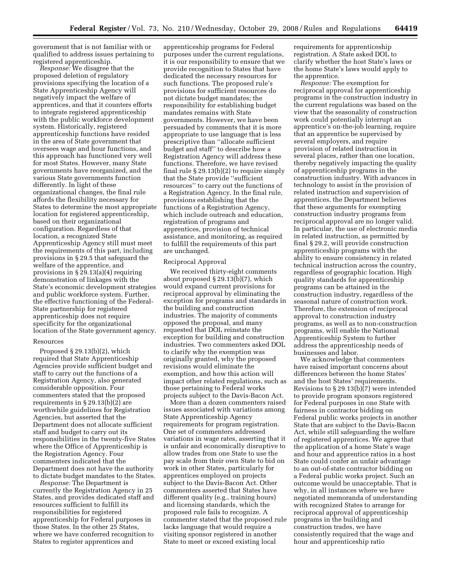government that is not familiar with or qualified to address issues pertaining to registered apprenticeship.

*Response:* We disagree that the proposed deletion of regulatory provisions specifying the location of a State Apprenticeship Agency will negatively impact the welfare of apprentices, and that it counters efforts to integrate registered apprenticeship with the public workforce development system. Historically, registered apprenticeship functions have resided in the area of State government that oversees wage and hour functions, and this approach has functioned very well for most States. However, many State governments have reorganized, and the various State governments function differently. In light of these organizational changes, the final rule affords the flexibility necessary for States to determine the most appropriate location for registered apprenticeship, based on their organizational configuration. Regardless of that location, a recognized State Apprenticeship Agency still must meet the requirements of this part, including provisions in § 29.5 that safeguard the welfare of the apprentice, and provisions in § 29.13(a)(4) requiring demonstration of linkages with the State's economic development strategies and public workforce system. Further, the effective functioning of the Federal-State partnership for registered apprenticeship does not require specificity for the organizational location of the State government agency.

#### Resources

Proposed § 29.13(b)(2), which required that State Apprenticeship Agencies provide sufficient budget and staff to carry out the functions of a Registration Agency, also generated considerable opposition. Four commenters stated that the proposed requirements in § 29.13(b)(2) are worthwhile guidelines for Registration Agencies, but asserted that the Department does not allocate sufficient staff and budget to carry out its responsibilities in the twenty-five States where the Office of Apprenticeship is the Registration Agency. Four commenters indicated that the Department does not have the authority to dictate budget mandates to the States.

*Response:* The Department is currently the Registration Agency in 25 States, and provides dedicated staff and resources sufficient to fulfill its responsibilities for registered apprenticeship for Federal purposes in those States. In the other 25 States, where we have conferred recognition to States to register apprentices and

apprenticeship programs for Federal purposes under the current regulations, it is our responsibility to ensure that we provide recognition to States that have dedicated the necessary resources for such functions. The proposed rule's provisions for sufficient resources do not dictate budget mandates; the responsibility for establishing budget mandates remains with State governments. However, we have been persuaded by comments that it is more appropriate to use language that is less prescriptive than ''allocate sufficient budget and staff'' to describe how a Registration Agency will address these functions. Therefore, we have revised final rule § 29.13(b)(2) to require simply that the State provide ''sufficient resources'' to carry out the functions of a Registration Agency. In the final rule, provisions establishing that the functions of a Registration Agency, which include outreach and education, registration of programs and apprentices, provision of technical assistance, and monitoring, as required to fulfill the requirements of this part are unchanged.

#### Reciprocal Approval

We received thirty-eight comments about proposed § 29.13(b)(7), which would expand current provisions for reciprocal approval by eliminating the exception for programs and standards in the building and construction industries. The majority of comments opposed the proposal, and many requested that DOL reinstate the exception for building and construction industries. Two commenters asked DOL to clarify why the exemption was originally granted, why the proposed revisions would eliminate the exemption, and how this action will impact other related regulations, such as those pertaining to Federal works projects subject to the Davis-Bacon Act.

More than a dozen commenters raised issues associated with variations among State Apprenticeship Agency requirements for program registration. One set of commenters addressed variations in wage rates, asserting that it is unfair and economically disruptive to allow trades from one State to use the pay scale from their own State to bid on work in other States, particularly for apprentices employed on projects subject to the Davis-Bacon Act. Other commenters asserted that States have different quality (e.g., training hours) and licensing standards, which the proposed rule fails to recognize. A commenter stated that the proposed rule lacks language that would require a visiting sponsor registered in another State to meet or exceed existing local

requirements for apprenticeship registration. A State asked DOL to clarify whether the host State's laws or the home State's laws would apply to the apprentice.

*Response:* The exemption for reciprocal approval for apprenticeship programs in the construction industry in the current regulations was based on the view that the seasonality of construction work could potentially interrupt an apprentice's on-the-job learning, require that an apprentice be supervised by several employers, and require provision of related instruction in several places, rather than one location, thereby negatively impacting the quality of apprenticeship programs in the construction industry. With advances in technology to assist in the provision of related instruction and supervision of apprentices, the Department believes that these arguments for exempting construction industry programs from reciprocal approval are no longer valid. In particular, the use of electronic media in related instruction, as permitted by final § 29.2, will provide construction apprenticeship programs with the ability to ensure consistency in related technical instruction across the country, regardless of geographic location. High quality standards for apprenticeship programs can be attained in the construction industry, regardless of the seasonal nature of construction work. Therefore, the extension of reciprocal approval to construction industry programs, as well as to non-construction programs, will enable the National Apprenticeship System to further address the apprenticeship needs of businesses and labor.

We acknowledge that commenters have raised important concerns about differences between the home States' and the host States' requirements. Revisions to § 29.13(b)(7) were intended to provide program sponsors registered for Federal purposes in one State with fairness in contractor bidding on Federal public works projects in another State that are subject to the Davis-Bacon Act, while still safeguarding the welfare of registered apprentices. We agree that the application of a home State's wage and hour and apprentice ratios in a host State could confer an unfair advantage to an out-of-state contractor bidding on a Federal public works project. Such an outcome would be unacceptable. That is why, in all instances where we have negotiated memoranda of understanding with recognized States to arrange for reciprocal approval of apprenticeship programs in the building and construction trades, we have consistently required that the wage and hour and apprenticeship ratio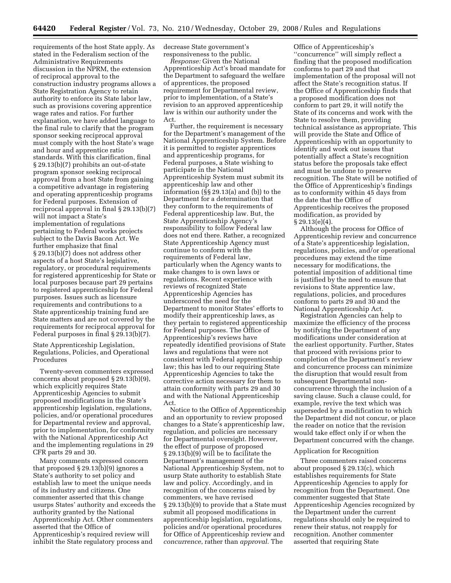requirements of the host State apply. As stated in the Federalism section of the Administrative Requirements discussion in the NPRM, the extension of reciprocal approval to the construction industry programs allows a State Registration Agency to retain authority to enforce its State labor law, such as provisions covering apprentice wage rates and ratios. For further explanation, we have added language to the final rule to clarify that the program sponsor seeking reciprocal approval must comply with the host State's wage and hour and apprentice ratio standards. With this clarification, final § 29.13(b)(7) prohibits an out-of-state program sponsor seeking reciprocal approval from a host State from gaining a competitive advantage in registering and operating apprenticeship programs for Federal purposes. Extension of reciprocal approval in final § 29.13(b)(7) will not impact a State's implementation of regulations pertaining to Federal works projects subject to the Davis Bacon Act. We further emphasize that final § 29.13(b)(7) does not address other aspects of a host State's legislative, regulatory, or procedural requirements for registered apprenticeship for State or local purposes because part 29 pertains to registered apprenticeship for Federal purposes. Issues such as licensure requirements and contributions to a State apprenticeship training fund are State matters and are not covered by the requirements for reciprocal approval for Federal purposes in final § 29.13(b)(7).

State Apprenticeship Legislation, Regulations, Policies, and Operational Procedures

Twenty-seven commenters expressed concerns about proposed § 29.13(b)(9), which explicitly requires State Apprenticeship Agencies to submit proposed modifications in the State's apprenticeship legislation, regulations, policies, and/or operational procedures for Departmental review and approval, prior to implementation, for conformity with the National Apprenticeship Act and the implementing regulations in 29 CFR parts 29 and 30.

Many comments expressed concern that proposed  $\S 29.13(b)(9)$  ignores a State's authority to set policy and establish law to meet the unique needs of its industry and citizens. One commenter asserted that this change usurps States' authority and exceeds the authority granted by the National Apprenticeship Act. Other commenters asserted that the Office of Apprenticeship's required review will inhibit the State regulatory process and

decrease State government's responsiveness to the public.

*Response:* Given the National Apprenticeship Act's broad mandate for the Department to safeguard the welfare of apprentices, the proposed requirement for Departmental review, prior to implementation, of a State's revision to an approved apprenticeship law is within our authority under the Act.

Further, the requirement is necessary for the Department's management of the National Apprenticeship System. Before it is permitted to register apprentices and apprenticeship programs, for Federal purposes, a State wishing to participate in the National Apprenticeship System must submit its apprenticeship law and other information (§§ 29.13(a) and (b)) to the Department for a determination that they conform to the requirements of Federal apprenticeship law. But, the State Apprenticeship Agency's responsibility to follow Federal law does not end there. Rather, a recognized State Apprenticeship Agency must continue to conform with the requirements of Federal law, particularly when the Agency wants to make changes to is own laws or regulations. Recent experience with reviews of recognized State Apprenticeship Agencies has underscored the need for the Department to monitor States' efforts to modify their apprenticeship laws, as they pertain to registered apprenticeship for Federal purposes. The Office of Apprenticeship's reviews have repeatedly identified provisions of State laws and regulations that were not consistent with Federal apprenticeship law; this has led to our requiring State Apprenticeship Agencies to take the corrective action necessary for them to attain conformity with parts 29 and 30 and with the National Apprenticeship Act.

Notice to the Office of Apprenticeship and an opportunity to review proposed changes to a State's apprenticeship law, regulation, and policies are necessary for Departmental oversight. However, the effect of purpose of proposed § 29.13(b)(9) will be to facilitate the Department's management of the National Apprenticeship System, not to usurp State authority to establish State law and policy. Accordingly, and in recognition of the concerns raised by commenters, we have revised § 29.13(b)(9) to provide that a State must submit all proposed modifications in apprenticeship legislation, regulations, policies and/or operational procedures for Office of Apprenticeship review and *concurrence*, rather than *approval*. The

Office of Apprenticeship's ''concurrence'' will simply reflect a finding that the proposed modification conforms to part 29 and that implementation of the proposal will not affect the State's recognition status. If the Office of Apprenticeship finds that a proposed modification does not conform to part 29, it will notify the State of its concerns and work with the State to resolve them, providing technical assistance as appropriate. This will provide the State and Office of Apprenticeship with an opportunity to identify and work out issues that potentially affect a State's recognition status before the proposals take effect and must be undone to preserve recognition. The State will be notified of the Office of Apprenticeship's findings as to conformity within 45 days from the date that the Office of Apprenticeship receives the proposed modification, as provided by § 29.13(e)(4).

Although the process for Office of Apprenticeship review and concurrence of a State's apprenticeship legislation, regulations, policies, and/or operational procedures may extend the time necessary for modifications, the potential imposition of additional time is justified by the need to ensure that revisions to State apprentice law, regulations, policies, and procedures conform to parts 29 and 30 and the National Apprenticeship Act.

Registration Agencies can help to maximize the efficiency of the process by notifying the Department of any modifications under consideration at the earliest opportunity. Further, States that proceed with revisions prior to completion of the Department's review and concurrence process can minimize the disruption that would result from subsequent Departmental nonconcurrence through the inclusion of a saving clause. Such a clause could, for example, revive the text which was superseded by a modification to which the Department did not concur, or place the reader on notice that the revision would take effect only if or when the Department concurred with the change.

#### Application for Recognition

Three commenters raised concerns about proposed § 29.13(c), which establishes requirements for State Apprenticeship Agencies to apply for recognition from the Department. One commenter suggested that State Apprenticeship Agencies recognized by the Department under the current regulations should only be required to renew their status, not reapply for recognition. Another commenter asserted that requiring State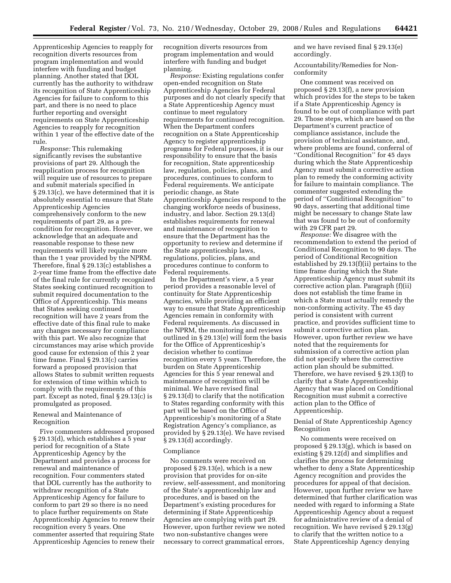Apprenticeship Agencies to reapply for recognition diverts resources from program implementation and would interfere with funding and budget planning. Another stated that DOL currently has the authority to withdraw its recognition of State Apprenticeship Agencies for failure to conform to this part, and there is no need to place further reporting and oversight requirements on State Apprenticeship Agencies to reapply for recognition within 1 year of the effective date of the rule.

*Response:* This rulemaking significantly revises the substantive provisions of part 29. Although the reapplication process for recognition will require use of resources to prepare and submit materials specified in § 29.13(c), we have determined that it is absolutely essential to ensure that State Apprenticeship Agencies comprehensively conform to the new requirements of part 29, as a precondition for recognition. However, we acknowledge that an adequate and reasonable response to these new requirements will likely require more than the 1 year provided by the NPRM. Therefore, final § 29.13(c) establishes a 2-year time frame from the effective date of the final rule for currently recognized States seeking continued recognition to submit required documentation to the Office of Apprenticeship. This means that States seeking continued recognition will have 2 years from the effective date of this final rule to make any changes necessary for compliance with this part. We also recognize that circumstances may arise which provide good cause for extension of this 2 year time frame. Final § 29.13(c) carries forward a proposed provision that allows States to submit written requests for extension of time within which to comply with the requirements of this part. Except as noted, final § 29.13(c) is promulgated as proposed.

# Renewal and Maintenance of Recognition

Five commenters addressed proposed § 29.13(d), which establishes a 5 year period for recognition of a State Apprenticeship Agency by the Department and provides a process for renewal and maintenance of recognition. Four commenters stated that DOL currently has the authority to withdraw recognition of a State Apprenticeship Agency for failure to conform to part 29 so there is no need to place further requirements on State Apprenticeship Agencies to renew their recognition every 5 years. One commenter asserted that requiring State Apprenticeship Agencies to renew their

recognition diverts resources from program implementation and would interfere with funding and budget planning.

*Response:* Existing regulations confer open-ended recognition on State Apprenticeship Agencies for Federal purposes and do not clearly specify that a State Apprenticeship Agency must continue to meet regulatory requirements for continued recognition. When the Department confers recognition on a State Apprenticeship Agency to register apprenticeship programs for Federal purposes, it is our responsibility to ensure that the basis for recognition, State apprenticeship law, regulation, policies, plans, and procedures, continues to conform to Federal requirements. We anticipate periodic change, as State Apprenticeship Agencies respond to the changing workforce needs of business, industry, and labor. Section 29.13(d) establishes requirements for renewal and maintenance of recognition to ensure that the Department has the opportunity to review and determine if the State apprenticeship laws, regulations, policies, plans, and procedures continue to conform to Federal requirements.

In the Department's view, a 5 year period provides a reasonable level of continuity for State Apprenticeship Agencies, while providing an efficient way to ensure that State Apprenticeship Agencies remain in conformity with Federal requirements. As discussed in the NPRM, the monitoring and reviews outlined in § 29.13(e) will form the basis for the Office of Apprenticeship's decision whether to continue recognition every 5 years. Therefore, the burden on State Apprenticeship Agencies for this 5 year renewal and maintenance of recognition will be minimal. We have revised final § 29.13(d) to clarify that the notification to States regarding conformity with this part will be based on the Office of Apprenticeship's monitoring of a State Registration Agency's compliance, as provided by § 29.13(e). We have revised § 29.13(d) accordingly.

#### Compliance

No comments were received on proposed § 29.13(e), which is a new provision that provides for on-site review, self-assessment, and monitoring of the State's apprenticeship law and procedures, and is based on the Department's existing procedures for determining if State Apprenticeship Agencies are complying with part 29. However, upon further review we noted two non-substantive changes were necessary to correct grammatical errors,

and we have revised final § 29.13(e) accordingly.

Accountability/Remedies for Nonconformity

One comment was received on proposed § 29.13(f), a new provision which provides for the steps to be taken if a State Apprenticeship Agency is found to be out of compliance with part 29. Those steps, which are based on the Department's current practice of compliance assistance, include the provision of technical assistance, and, where problems are found, conferral of ''Conditional Recognition'' for 45 days during which the State Apprenticeship Agency must submit a corrective action plan to remedy the conforming activity for failure to maintain compliance. The commenter suggested extending the period of ''Conditional Recognition'' to 90 days, asserting that additional time might be necessary to change State law that was found to be out of conformity with 29 CFR part 29.

*Response:* We disagree with the recommendation to extend the period of Conditional Recognition to 90 days. The period of Conditional Recognition established by 29.13(f)(ii) pertains to the time frame during which the State Apprenticeship Agency must submit its corrective action plan. Paragraph (f)(ii) does not establish the time frame in which a State must actually remedy the non-conforming activity. The 45 day period is consistent with current practice, and provides sufficient time to submit a corrective action plan. However, upon further review we have noted that the requirements for submission of a corrective action plan did not specify where the corrective action plan should be submitted. Therefore, we have revised § 29.13(f) to clarify that a State Apprenticeship Agency that was placed on Conditional Recognition must submit a corrective action plan to the Office of Apprenticeship.

# Denial of State Apprenticeship Agency Recognition

No comments were received on proposed § 29.13(g), which is based on existing § 29.12(d) and simplifies and clarifies the process for determining whether to deny a State Apprenticeship Agency recognition and provides the procedures for appeal of that decision. However, upon further review we have determined that further clarification was needed with regard to informing a State Apprenticeship Agency about a request for administrative review of a denial of recognition. We have revised § 29.13(g) to clarify that the written notice to a State Apprenticeship Agency denying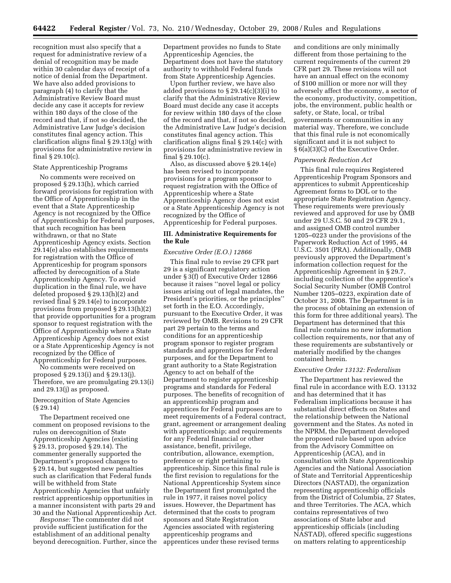recognition must also specify that a request for administrative review of a denial of recognition may be made within 30 calendar days of receipt of a notice of denial from the Department. We have also added provisions to paragraph (4) to clarify that the Administrative Review Board must decide any case it accepts for review within 180 days of the close of the record and that, if not so decided, the Administrative Law Judge's decision constitutes final agency action. This clarification aligns final § 29.13(g) with provisions for administrative review in final § 29.10(c).

# State Apprenticeship Programs

No comments were received on proposed § 29.13(h), which carried forward provisions for registration with the Office of Apprenticeship in the event that a State Apprenticeship Agency is not recognized by the Office of Apprenticeship for Federal purposes, that such recognition has been withdrawn, or that no State Apprenticeship Agency exists. Section 29.14(e) also establishes requirements for registration with the Office of Apprenticeship for program sponsors affected by derecognition of a State Apprenticeship Agency. To avoid duplication in the final rule, we have deleted proposed § 29.13(h)(2) and revised final § 29.14(e) to incorporate provisions from proposed § 29.13(h)(2) that provide opportunities for a program sponsor to request registration with the Office of Apprenticeship where a State Apprenticeship Agency does not exist or a State Apprenticeship Agency is not recognized by the Office of Apprenticeship for Federal purposes.

No comments were received on proposed § 29.13(i) and § 29.13(j). Therefore, we are promulgating 29.13(i) and 29.13(j) as proposed.

# Derecognition of State Agencies (§ 29.14)

The Department received one comment on proposed revisions to the rules on derecognition of State Apprenticeship Agencies (existing § 29.13, proposed § 29.14). The commenter generally supported the Department's proposed changes to § 29.14, but suggested new penalties such as clarification that Federal funds will be withheld from State Apprenticeship Agencies that unfairly restrict apprenticeship opportunities in a manner inconsistent with parts 29 and 30 and the National Apprenticeship Act.

*Response:* The commenter did not provide sufficient justification for the establishment of an additional penalty beyond derecognition. Further, since the Department provides no funds to State Apprenticeship Agencies, the Department does not have the statutory authority to withhold Federal funds from State Apprenticeship Agencies.

Upon further review, we have also added provisions to § 29.14(c)(3)(i) to clarify that the Administrative Review Board must decide any case it accepts for review within 180 days of the close of the record and that, if not so decided, the Administrative Law Judge's decision constitutes final agency action. This clarification aligns final § 29.14(c) with provisions for administrative review in final § 29.10(c).

Also, as discussed above § 29.14(e) has been revised to incorporate provisions for a program sponsor to request registration with the Office of Apprenticeship where a State Apprenticeship Agency does not exist or a State Apprenticeship Agency is not recognized by the Office of Apprenticeship for Federal purposes.

# **III. Administrative Requirements for the Rule**

#### *Executive Order (E.O.) 12866*

This final rule to revise 29 CFR part 29 is a significant regulatory action under § 3(f) of Executive Order 12866 because it raises ''novel legal or policy issues arising out of legal mandates, the President's priorities, or the principles'' set forth in the E.O. Accordingly, pursuant to the Executive Order, it was reviewed by OMB. Revisions to 29 CFR part 29 pertain to the terms and conditions for an apprenticeship program sponsor to register program standards and apprentices for Federal purposes, and for the Department to grant authority to a State Registration Agency to act on behalf of the Department to register apprenticeship programs and standards for Federal purposes. The benefits of recognition of an apprenticeship program and apprentices for Federal purposes are to meet requirements of a Federal contract, grant, agreement or arrangement dealing with apprenticeship; and requirements for any Federal financial or other assistance, benefit, privilege, contribution, allowance, exemption, preference or right pertaining to apprenticeship. Since this final rule is the first revision to regulations for the National Apprenticeship System since the Department first promulgated the rule in 1977, it raises novel policy issues. However, the Department has determined that the costs to program sponsors and State Registration Agencies associated with registering apprenticeship programs and apprentices under these revised terms

and conditions are only minimally different from those pertaining to the current requirements of the current 29 CFR part 29. These revisions will not have an annual effect on the economy of \$100 million or more nor will they adversely affect the economy, a sector of the economy, productivity, competition, jobs, the environment, public health or safety, or State, local, or tribal governments or communities in any material way. Therefore, we conclude that this final rule is not economically significant and it is not subject to § 6(a)(3)(C) of the Executive Order.

#### *Paperwork Reduction Act*

This final rule requires Registered Apprenticeship Program Sponsors and apprentices to submit Apprenticeship Agreement forms to DOL or to the appropriate State Registration Agency. These requirements were previously reviewed and approved for use by OMB under 29 U.S.C. 50 and 29 CFR 29.1, and assigned OMB control number 1205–0223 under the provisions of the Paperwork Reduction Act of 1995, 44 U.S.C. 3501 (PRA). Additionally, OMB previously approved the Department's information collection request for the Apprenticeship Agreement in § 29.7, including collection of the apprentice's Social Security Number (OMB Control Number 1205–0223, expiration date of October 31, 2008. The Department is in the process of obtaining an extension of this form for three additional years). The Department has determined that this final rule contains no new information collection requirements, nor that any of these requirements are substantively or materially modified by the changes contained herein.

#### *Executive Order 13132: Federalism*

The Department has reviewed the final rule in accordance with E.O. 13132 and has determined that it has Federalism implications because it has substantial direct effects on States and the relationship between the National government and the States. As noted in the NPRM, the Department developed the proposed rule based upon advice from the Advisory Committee on Apprenticeship (ACA), and in consultation with State Apprenticeship Agencies and the National Association of State and Territorial Apprenticeship Directors (NASTAD), the organization representing apprenticeship officials from the District of Columbia, 27 States, and three Territories. The ACA, which contains representatives of two associations of State labor and apprenticeship officials (including NASTAD), offered specific suggestions on matters relating to apprenticeship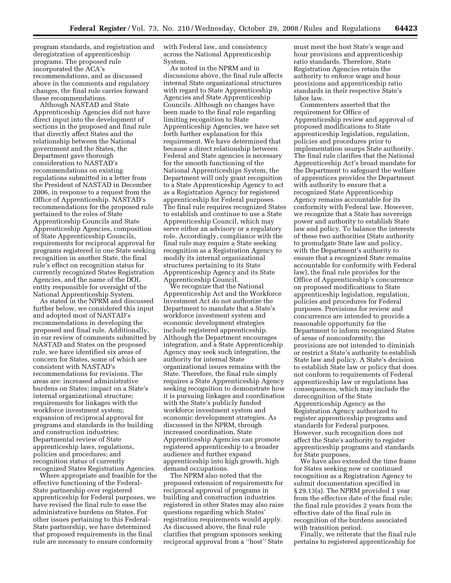program standards, and registration and deregistration of apprenticeship programs. The proposed rule incorporated the ACA's recommendations, and as discussed above in the comments and regulatory changes, the final rule carries forward these recommendations.

Although NASTAD and State Apprenticeship Agencies did not have direct input into the development of sections in the proposed and final rule that directly affect States and the relationship between the National government and the States, the Department gave thorough consideration to NASTAD's recommendations on existing regulations submitted in a letter from the President of NASTAD in December 2006, in response to a request from the Office of Apprenticeship. NASTAD's recommendations for the proposed rule pertained to the roles of State Apprenticeship Councils and State Apprenticeship Agencies, composition of State Apprenticeship Councils, requirements for reciprocal approval for programs registered in one State seeking recognition in another State, the final rule's effect on recognition status for currently recognized States Registration Agencies, and the name of the DOL entity responsible for oversight of the National Apprenticeship System.

As stated in the NPRM and discussed further below, we considered this input and adopted most of NASTAD's recommendations in developing the proposed and final rule. Additionally, in our review of comments submitted by NASTAD and States on the proposed rule, we have identified six areas of concern for States, some of which are consistent with NASTAD's recommendations for revisions. The areas are: increased administrative burdens on States; impact on a State's internal organizational structure; requirements for linkages with the workforce investment system; expansion of reciprocal approval for programs and standards in the building and construction industries; Departmental review of State apprenticeship laws, regulations, policies and procedures; and recognition status of currently recognized States Registration Agencies.

Where appropriate and feasible for the effective functioning of the Federal-State partnership over registered apprenticeship for Federal purposes, we have revised the final rule to ease the administrative burdens on States. For other issues pertaining to this Federal-State partnership, we have determined that proposed requirements in the final rule are necessary to ensure conformity

with Federal law, and consistency across the National Apprenticeship System.

As noted in the NPRM and in discussions above, the final rule affects internal State organizational structures with regard to State Apprenticeship Agencies and State Apprenticeship Councils. Although no changes have been made to the final rule regarding limiting recognition to State Apprenticeship Agencies, we have set forth further explanation for this requirement. We have determined that because a direct relationship between Federal and State agencies is necessary for the smooth functioning of the National Apprenticeships System, the Department will only grant recognition to a State Apprenticeship Agency to act as a Registration Agency for registered apprenticeship for Federal purposes. The final rule requires recognized States to establish and continue to use a State Apprenticeship Council, which may serve either an advisory or a regulatory role. Accordingly, compliance with the final rule may require a State seeking recognition as a Registration Agency to modify its internal organizational structures pertaining to its State Apprenticeship Agency and its State Apprenticeship Council.

We recognize that the National Apprenticeship Act and the Workforce Investment Act do not authorize the Department to mandate that a State's workforce investment system and economic development strategies include registered apprenticeship. Although the Department encourages integration, and a State Apprenticeship Agency may seek such integration, the authority for internal State organizational issues remains with the State. Therefore, the final rule simply requires a State Apprenticeship Agency seeking recognition to demonstrate how it is pursuing linkages and coordination with the State's publicly funded workforce investment system and economic development strategies. As discussed in the NPRM, through increased coordination, State Apprenticeship Agencies can promote registered apprenticeship to a broader audience and further expand apprenticeship into high growth, high demand occupations.

The NPRM also noted that the proposed extension of requirements for reciprocal approval of programs in building and construction industries registered in other States may also raise questions regarding which States' registration requirements would apply. As discussed above, the final rule clarifies that program sponsors seeking reciprocal approval from a ''host'' State

must meet the host State's wage and hour provisions and apprenticeship ratio standards. Therefore, State Registration Agencies retain the authority to enforce wage and hour provisions and apprenticeship ratio standards in their respective State's labor law.

Commenters asserted that the requirement for Office of Apprenticeship review and approval of proposed modifications to State apprenticeship legislation, regulation, policies and procedures prior to implementation usurps State authority. The final rule clarifies that the National Apprenticeship Act's broad mandate for the Department to safeguard the welfare of apprentices provides the Department with authority to ensure that a recognized State Apprenticeship Agency remains accountable for its conformity with Federal law. However, we recognize that a State has sovereign power and authority to establish State law and policy. To balance the interests of these two authorities (State authority to promulgate State law and policy, with the Department's authority to ensure that a recognized State remains accountable for conformity with Federal law), the final rule provides for the Office of Apprenticeship's concurrence on proposed modifications to State apprenticeship legislation, regulation, policies and procedures for Federal purposes. Provisions for review and concurrence are intended to provide a reasonable opportunity for the Department to inform recognized States of areas of nonconformity; the provisions are not intended to diminish or restrict a State's authority to establish State law and policy. A State's decision to establish State law or policy that does not conform to requirements of Federal apprenticeship law or regulations has consequences, which may include the derecognition of the State Apprenticeship Agency as the Registration Agency authorized to register apprenticeship programs and standards for Federal purposes. However, such recognition does not affect the State's authority to register apprenticeship programs and standards for State purposes.

We have also extended the time frame for States seeking new or continued recognition as a Registration Agency to submit documentation specified in § 29.13(a). The NPRM provided 1 year from the effective date of the final rule; the final rule provides 2 years from the effective date of the final rule in recognition of the burdens associated with transition period.

Finally, we reiterate that the final rule pertains to registered apprenticeship for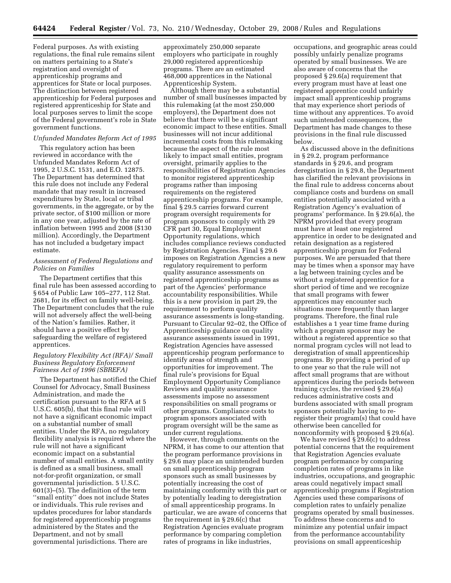Federal purposes. As with existing regulations, the final rule remains silent on matters pertaining to a State's registration and oversight of apprenticeship programs and apprentices for State or local purposes. The distinction between registered apprenticeship for Federal purposes and registered apprenticeship for State and local purposes serves to limit the scope of the Federal government's role in State government functions.

#### *Unfunded Mandates Reform Act of 1995*

This regulatory action has been reviewed in accordance with the Unfunded Mandates Reform Act of 1995, 2 U.S.C. 1531, and E.O. 12875. The Department has determined that this rule does not include any Federal mandate that may result in increased expenditures by State, local or tribal governments, in the aggregate, or by the private sector, of \$100 million or more in any one year, adjusted by the rate of inflation between 1995 and 2008 (\$130 million). Accordingly, the Department has not included a budgetary impact estimate.

# *Assessment of Federal Regulations and Policies on Families*

The Department certifies that this final rule has been assessed according to § 654 of Public Law 105–277, 112 Stat. 2681, for its effect on family well-being. The Department concludes that the rule will not adversely affect the well-being of the Nation's families. Rather, it should have a positive effect by safeguarding the welfare of registered apprentices.

# *Regulatory Flexibility Act (RFA)/ Small Business Regulatory Enforcement Fairness Act of 1996 (SBREFA)*

The Department has notified the Chief Counsel for Advocacy, Small Business Administration, and made the certification pursuant to the RFA at 5 U.S.C. 605(b), that this final rule will not have a significant economic impact on a substantial number of small entities. Under the RFA, no regulatory flexibility analysis is required where the rule will not have a significant economic impact on a substantial number of small entities. A small entity is defined as a small business, small not-for-profit organization, or small governmental jurisdiction. 5 U.S.C. 601(3)–(5). The definition of the term ''small entity'' does not include States or individuals. This rule revises and updates procedures for labor standards for registered apprenticeship programs administered by the States and the Department, and not by small governmental jurisdictions. There are

approximately 250,000 separate employers who participate in roughly 29,000 registered apprenticeship programs. There are an estimated 468,000 apprentices in the National Apprenticeship System.

Although there may be a substantial number of small businesses impacted by this rulemaking (at the most 250,000 employers), the Department does not believe that there will be a significant economic impact to these entities. Small businesses will not incur additional incremental costs from this rulemaking because the aspect of the rule most likely to impact small entities, program oversight, primarily applies to the responsibilities of Registration Agencies to monitor registered apprenticeship programs rather than imposing requirements on the registered apprenticeship programs. For example, final § 29.5 carries forward current program oversight requirements for program sponsors to comply with 29 CFR part 30, Equal Employment Opportunity regulations, which includes compliance reviews conducted by Registration Agencies. Final § 29.6 imposes on Registration Agencies a new regulatory requirement to perform quality assurance assessments on registered apprenticeship programs as part of the Agencies' performance accountability responsibilities. While this is a new provision in part 29, the requirement to perform quality assurance assessments is long-standing. Pursuant to Circular 92–02, the Office of Apprenticeship guidance on quality assurance assessments issued in 1991, Registration Agencies have assessed apprenticeship program performance to identify areas of strength and opportunities for improvement. The final rule's provisions for Equal Employment Opportunity Compliance Reviews and quality assurance assessments impose no assessment responsibilities on small programs or other programs. Compliance costs to program sponsors associated with program oversight will be the same as under current regulations.

However, through comments on the NPRM, it has come to our attention that the program performance provisions in § 29.6 may place an unintended burden on small apprenticeship program sponsors such as small businesses by potentially increasing the cost of maintaining conformity with this part or by potentially leading to deregistration of small apprenticeship programs. In particular, we are aware of concerns that the requirement in § 29.6(c) that Registration Agencies evaluate program performance by comparing completion rates of programs in like industries,

occupations, and geographic areas could possibly unfairly penalize programs operated by small businesses. We are also aware of concerns that the proposed § 29.6(a) requirement that every program must have at least one registered apprentice could unfairly impact small apprenticeship programs that may experience short periods of time without any apprentices. To avoid such unintended consequences, the Department has made changes to these provisions in the final rule discussed below.

As discussed above in the definitions in § 29.2, program performance standards in § 29.6, and program deregistration in § 29.8, the Department has clarified the relevant provisions in the final rule to address concerns about compliance costs and burdens on small entities potentially associated with a Registration Agency's evaluation of programs' performance. In § 29.6(a), the NPRM provided that every program must have at least one registered apprentice in order to be designated and retain designation as a registered apprenticeship program for Federal purposes. We are persuaded that there may be times when a sponsor may have a lag between training cycles and be without a registered apprentice for a short period of time and we recognize that small programs with fewer apprentices may encounter such situations more frequently than larger programs. Therefore, the final rule establishes a 1 year time frame during which a program sponsor may be without a registered apprentice so that normal program cycles will not lead to deregistration of small apprenticeship programs. By providing a period of up to one year so that the rule will not affect small programs that are without apprentices during the periods between training cycles, the revised § 29.6(a) reduces administrative costs and burdens associated with small program sponsors potentially having to reregister their program(s) that could have otherwise been cancelled for nonconformity with proposed § 29.6(a).

We have revised § 29.6(c) to address potential concerns that the requirement that Registration Agencies evaluate program performance by comparing completion rates of programs in like industries, occupations, and geographic areas could negatively impact small apprenticeship programs if Registration Agencies used these comparisons of completion rates to unfairly penalize programs operated by small businesses. To address these concerns and to minimize any potential unfair impact from the performance accountability provisions on small apprenticeship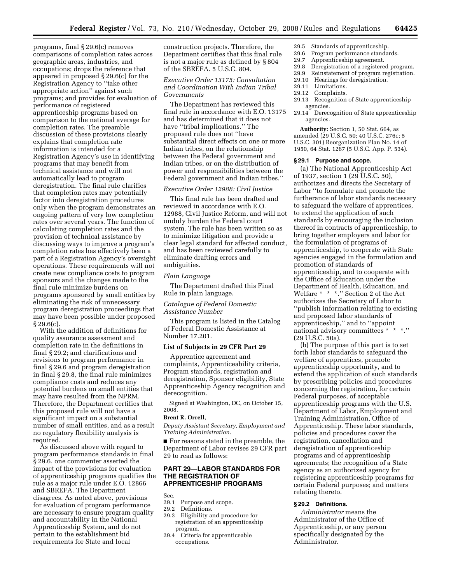programs, final § 29.6(c) removes comparisons of completion rates across geographic areas, industries, and occupations; drops the reference that appeared in proposed § 29.6(c) for the Registration Agency to ''take other appropriate action'' against such programs; and provides for evaluation of performance of registered apprenticeship programs based on comparison to the national average for completion rates. The preamble discussion of these provisions clearly explains that completion rate information is intended for a Registration Agency's use in identifying programs that may benefit from technical assistance and will not automatically lead to program deregistration. The final rule clarifies that completion rates may potentially factor into deregistration procedures only when the program demonstrates an ongoing pattern of very low completion rates over several years. The function of calculating completion rates and the provision of technical assistance by discussing ways to improve a program's completion rates has effectively been a part of a Registration Agency's oversight operations. These requirements will not create new compliance costs to program sponsors and the changes made to the final rule minimize burdens on programs sponsored by small entities by eliminating the risk of unnecessary program deregistration proceedings that may have been possible under proposed § 29.6(c).

With the addition of definitions for quality assurance assessment and completion rate in the definitions in final § 29.2; and clarifications and revisions to program performance in final § 29.6 and program deregistration in final § 29.8, the final rule minimizes compliance costs and reduces any potential burdens on small entities that may have resulted from the NPRM. Therefore, the Department certifies that this proposed rule will not have a significant impact on a substantial number of small entities, and as a result no regulatory flexibility analysis is required.

As discussed above with regard to program performance standards in final § 29.6, one commenter asserted the impact of the provisions for evaluation of apprenticeship programs qualifies the rule as a major rule under E.O. 12866 and SBREFA. The Department disagrees. As noted above, provisions for evaluation of program performance are necessary to ensure program quality and accountability in the National Apprenticeship System, and do not pertain to the establishment bid requirements for State and local

construction projects. Therefore, the Department certifies that this final rule is not a major rule as defined by § 804 of the SBREFA. 5 U.S.C. 804.

# *Executive Order 13175: Consultation and Coordination With Indian Tribal Governments*

The Department has reviewed this final rule in accordance with E.O. 13175 and has determined that it does not have ''tribal implications.'' The proposed rule does not ''have substantial direct effects on one or more Indian tribes, on the relationship between the Federal government and Indian tribes, or on the distribution of power and responsibilities between the Federal government and Indian tribes.''

# *Executive Order 12988: Civil Justice*

This final rule has been drafted and reviewed in accordance with E.O. 12988, Civil Justice Reform, and will not unduly burden the Federal court system. The rule has been written so as to minimize litigation and provide a clear legal standard for affected conduct, and has been reviewed carefully to eliminate drafting errors and ambiguities.

#### *Plain Language*

The Department drafted this Final Rule in plain language.

# *Catalogue of Federal Domestic Assistance Number*

This program is listed in the Catalog of Federal Domestic Assistance at Number 17.201.

# **List of Subjects in 29 CFR Part 29**

Apprentice agreement and complaints, Apprenticeability criteria, Program standards, registration and deregistration, Sponsor eligibility, State Apprenticeship Agency recognition and derecognition.

Signed at Washington, DC, on October 15, 2008.

# **Brent R. Orrell,**

*Deputy Assistant Secretary, Employment and Training Administration.* 

■ For reasons stated in the preamble, the Department of Labor revises 29 CFR part 29 to read as follows:

# **PART 29—LABOR STANDARDS FOR THE REGISTRATION OF APPRENTICESHIP PROGRAMS**

Sec.<br>29.1

29.1 Purpose and scope.<br>29.2 Definitions.

29.2 Definitions.<br>29.3 Eligibility a

- Eligibility and procedure for registration of an apprenticeship program.
- 29.4 Criteria for apprenticeable occupations.
- 29.5 Standards of apprenticeship.<br>29.6 Program performance standar
- Program performance standards.
- 29.7 Apprenticeship agreement.<br>29.8 Deregistration of a registere
- Deregistration of a registered program.
- 29.9 Reinstatement of program registration. 29.10 Hearings for deregistration.
- 
- 29.11 Limitations.
- 29.12 Complaints. 29.13 Recognition of State apprenticeship agencies.
- 29.14 Derecognition of State apprenticeship agencies.

**Authority:** Section 1, 50 Stat. 664, as amended (29 U.S.C. 50; 40 U.S.C. 276c; 5 U.S.C. 301) Reorganization Plan No. 14 of 1950, 64 Stat. 1267 (5 U.S.C. App. P. 534).

#### **§ 29.1 Purpose and scope.**

(a) The National Apprenticeship Act of 1937, section 1 (29 U.S.C. 50), authorizes and directs the Secretary of Labor ''to formulate and promote the furtherance of labor standards necessary to safeguard the welfare of apprentices, to extend the application of such standards by encouraging the inclusion thereof in contracts of apprenticeship, to bring together employers and labor for the formulation of programs of apprenticeship, to cooperate with State agencies engaged in the formulation and promotion of standards of apprenticeship, and to cooperate with the Office of Education under the Department of Health, Education, and Welfare \* \* \*.'' Section 2 of the Act authorizes the Secretary of Labor to ''publish information relating to existing and proposed labor standards of apprenticeship,'' and to ''appoint national advisory committees \* \* \*.'' (29 U.S.C. 50a).

(b) The purpose of this part is to set forth labor standards to safeguard the welfare of apprentices, promote apprenticeship opportunity, and to extend the application of such standards by prescribing policies and procedures concerning the registration, for certain Federal purposes, of acceptable apprenticeship programs with the U.S. Department of Labor, Employment and Training Administration, Office of Apprenticeship. These labor standards, policies and procedures cover the registration, cancellation and deregistration of apprenticeship programs and of apprenticeship agreements; the recognition of a State agency as an authorized agency for registering apprenticeship programs for certain Federal purposes; and matters relating thereto.

# **§ 29.2 Definitions.**

*Administrator* means the Administrator of the Office of Apprenticeship, or any person specifically designated by the Administrator.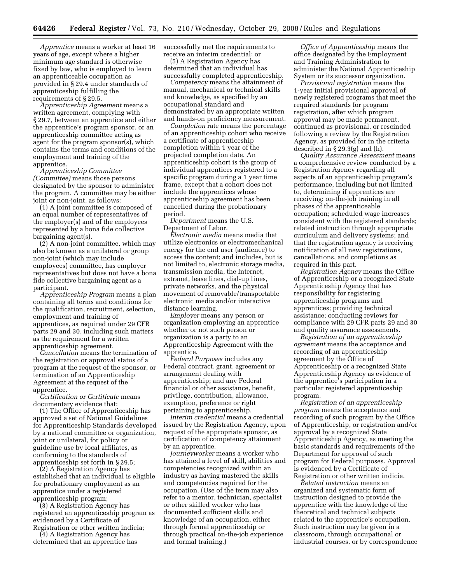*Apprentice* means a worker at least 16 years of age, except where a higher minimum age standard is otherwise fixed by law, who is employed to learn an apprenticeable occupation as provided in § 29.4 under standards of apprenticeship fulfilling the requirements of § 29.5.

*Apprenticeship Agreement* means a written agreement, complying with § 29.7, between an apprentice and either the apprentice's program sponsor, or an apprenticeship committee acting as agent for the program sponsor(s), which contains the terms and conditions of the employment and training of the apprentice.

*Apprenticeship Committee (Committee)* means those persons designated by the sponsor to administer the program. A committee may be either joint or non-joint, as follows:

(1) A joint committee is composed of an equal number of representatives of the employer(s) and of the employees represented by a bona fide collective bargaining agent(s).

(2) A non-joint committee, which may also be known as a unilateral or group non-joint (which may include employees) committee, has employer representatives but does not have a bona fide collective bargaining agent as a participant.

*Apprenticeship Program* means a plan containing all terms and conditions for the qualification, recruitment, selection, employment and training of apprentices, as required under 29 CFR parts 29 and 30, including such matters as the requirement for a written apprenticeship agreement.

*Cancellation* means the termination of the registration or approval status of a program at the request of the sponsor, or termination of an Apprenticeship Agreement at the request of the apprentice.

*Certification or Certificate* means documentary evidence that:

(1) The Office of Apprenticeship has approved a set of National Guidelines for Apprenticeship Standards developed by a national committee or organization, joint or unilateral, for policy or guideline use by local affiliates, as conforming to the standards of apprenticeship set forth in § 29.5;

(2) A Registration Agency has established that an individual is eligible for probationary employment as an apprentice under a registered apprenticeship program;

(3) A Registration Agency has registered an apprenticeship program as evidenced by a Certificate of Registration or other written indicia;

(4) A Registration Agency has determined that an apprentice has successfully met the requirements to receive an interim credential; or

(5) A Registration Agency has determined that an individual has successfully completed apprenticeship.

*Competency* means the attainment of manual, mechanical or technical skills and knowledge, as specified by an occupational standard and demonstrated by an appropriate written and hands-on proficiency measurement.

*Completion* rate means the percentage of an apprenticeship cohort who receive a certificate of apprenticeship completion within 1 year of the projected completion date. An apprenticeship cohort is the group of individual apprentices registered to a specific program during a 1 year time frame, except that a cohort does not include the apprentices whose apprenticeship agreement has been cancelled during the probationary period.

*Department* means the U.S. Department of Labor.

*Electronic media* means media that utilize electronics or electromechanical energy for the end user (audience) to access the content; and includes, but is not limited to, electronic storage media, transmission media, the Internet, extranet, lease lines, dial-up lines, private networks, and the physical movement of removable/transportable electronic media and/or interactive distance learning.

*Employer* means any person or organization employing an apprentice whether or not such person or organization is a party to an Apprenticeship Agreement with the apprentice.

*Federal Purposes* includes any Federal contract, grant, agreement or arrangement dealing with apprenticeship; and any Federal financial or other assistance, benefit, privilege, contribution, allowance, exemption, preference or right pertaining to apprenticeship.

*Interim credential* means a credential issued by the Registration Agency, upon request of the appropriate sponsor, as certification of competency attainment by an apprentice.

*Journeyworker* means a worker who has attained a level of skill, abilities and competencies recognized within an industry as having mastered the skills and competencies required for the occupation. (Use of the term may also refer to a mentor, technician, specialist or other skilled worker who has documented sufficient skills and knowledge of an occupation, either through formal apprenticeship or through practical on-the-job experience and formal training.)

*Office of Apprenticeship* means the office designated by the Employment and Training Administration to administer the National Apprenticeship System or its successor organization.

*Provisional registration* means the 1-year initial provisional approval of newly registered programs that meet the required standards for program registration, after which program approval may be made permanent, continued as provisional, or rescinded following a review by the Registration Agency, as provided for in the criteria described in § 29.3(g) and (h).

*Quality Assurance Assessment* means a comprehensive review conducted by a Registration Agency regarding all aspects of an apprenticeship program's performance, including but not limited to, determining if apprentices are receiving: on-the-job training in all phases of the apprenticeable occupation; scheduled wage increases consistent with the registered standards; related instruction through appropriate curriculum and delivery systems; and that the registration agency is receiving notification of all new registrations, cancellations, and completions as required in this part.

*Registration Agency* means the Office of Apprenticeship or a recognized State Apprenticeship Agency that has responsibility for registering apprenticeship programs and apprentices; providing technical assistance; conducting reviews for compliance with 29 CFR parts 29 and 30 and quality assurance assessments.

*Registration of an apprenticeship agreement* means the acceptance and recording of an apprenticeship agreement by the Office of Apprenticeship or a recognized State Apprenticeship Agency as evidence of the apprentice's participation in a particular registered apprenticeship program.

*Registration of an apprenticeship program* means the acceptance and recording of such program by the Office of Apprenticeship, or registration and/or approval by a recognized State Apprenticeship Agency, as meeting the basic standards and requirements of the Department for approval of such program for Federal purposes. Approval is evidenced by a Certificate of Registration or other written indicia.

*Related instruction* means an organized and systematic form of instruction designed to provide the apprentice with the knowledge of the theoretical and technical subjects related to the apprentice's occupation. Such instruction may be given in a classroom, through occupational or industrial courses, or by correspondence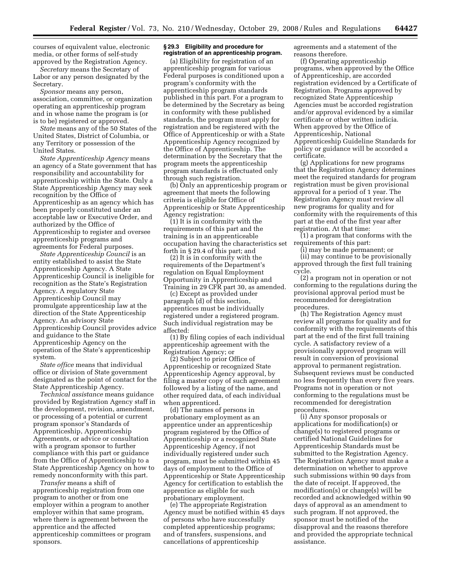courses of equivalent value, electronic media, or other forms of self-study approved by the Registration Agency.

*Secretary* means the Secretary of Labor or any person designated by the Secretary.

*Sponsor* means any person, association, committee, or organization operating an apprenticeship program and in whose name the program is (or is to be) registered or approved.

*State* means any of the 50 States of the United States, District of Columbia, or any Territory or possession of the United States.

*State Apprenticeship Agency* means an agency of a State government that has responsibility and accountability for apprenticeship within the State. Only a State Apprenticeship Agency may seek recognition by the Office of Apprenticeship as an agency which has been properly constituted under an acceptable law or Executive Order, and authorized by the Office of Apprenticeship to register and oversee apprenticeship programs and agreements for Federal purposes.

*State Apprenticeship Council* is an entity established to assist the State Apprenticeship Agency. A State Apprenticeship Council is ineligible for recognition as the State's Registration Agency. A regulatory State Apprenticeship Council may promulgate apprenticeship law at the direction of the State Apprenticeship Agency. An advisory State Apprenticeship Council provides advice and guidance to the State Apprenticeship Agency on the operation of the State's apprenticeship system.

*State office* means that individual office or division of State government designated as the point of contact for the State Apprenticeship Agency.

*Technical assistance* means guidance provided by Registration Agency staff in the development, revision, amendment, or processing of a potential or current program sponsor's Standards of Apprenticeship, Apprenticeship Agreements, or advice or consultation with a program sponsor to further compliance with this part or guidance from the Office of Apprenticeship to a State Apprenticeship Agency on how to remedy nonconformity with this part.

*Transfer* means a shift of apprenticeship registration from one program to another or from one employer within a program to another employer within that same program, where there is agreement between the apprentice and the affected apprenticeship committees or program sponsors.

#### **§ 29.3 Eligibility and procedure for registration of an apprenticeship program.**

(a) Eligibility for registration of an apprenticeship program for various Federal purposes is conditioned upon a program's conformity with the apprenticeship program standards published in this part. For a program to be determined by the Secretary as being in conformity with these published standards, the program must apply for registration and be registered with the Office of Apprenticeship or with a State Apprenticeship Agency recognized by the Office of Apprenticeship. The determination by the Secretary that the program meets the apprenticeship program standards is effectuated only through such registration.

(b) Only an apprenticeship program or agreement that meets the following criteria is eligible for Office of Apprenticeship or State Apprenticeship Agency registration:

(1) It is in conformity with the requirements of this part and the training is in an apprenticeable occupation having the characteristics set forth in § 29.4 of this part; and

(2) It is in conformity with the requirements of the Department's regulation on Equal Employment Opportunity in Apprenticeship and Training in 29 CFR part 30, as amended.

(c) Except as provided under paragraph (d) of this section, apprentices must be individually registered under a registered program. Such individual registration may be affected:

(1) By filing copies of each individual apprenticeship agreement with the Registration Agency; or

(2) Subject to prior Office of Apprenticeship or recognized State Apprenticeship Agency approval, by filing a master copy of such agreement followed by a listing of the name, and other required data, of each individual when apprenticed.

(d) The names of persons in probationary employment as an apprentice under an apprenticeship program registered by the Office of Apprenticeship or a recognized State Apprenticeship Agency, if not individually registered under such program, must be submitted within 45 days of employment to the Office of Apprenticeship or State Apprenticeship Agency for certification to establish the apprentice as eligible for such probationary employment.

(e) The appropriate Registration Agency must be notified within 45 days of persons who have successfully completed apprenticeship programs; and of transfers, suspensions, and cancellations of apprenticeship

agreements and a statement of the reasons therefore.

(f) Operating apprenticeship programs, when approved by the Office of Apprenticeship, are accorded registration evidenced by a Certificate of Registration. Programs approved by recognized State Apprenticeship Agencies must be accorded registration and/or approval evidenced by a similar certificate or other written indicia. When approved by the Office of Apprenticeship, National Apprenticeship Guideline Standards for policy or guidance will be accorded a certificate.

(g) Applications for new programs that the Registration Agency determines meet the required standards for program registration must be given provisional approval for a period of 1 year. The Registration Agency must review all new programs for quality and for conformity with the requirements of this part at the end of the first year after registration. At that time:

(1) a program that conforms with the requirements of this part:

(i) may be made permanent; or (ii) may continue to be provisionally approved through the first full training cycle.

(2) a program not in operation or not conforming to the regulations during the provisional approval period must be recommended for deregistration procedures.

(h) The Registration Agency must review all programs for quality and for conformity with the requirements of this part at the end of the first full training cycle. A satisfactory review of a provisionally approved program will result in conversion of provisional approval to permanent registration. Subsequent reviews must be conducted no less frequently than every five years. Programs not in operation or not conforming to the regulations must be recommended for deregistration procedures.

(i) Any sponsor proposals or applications for modification(s) or change(s) to registered programs or certified National Guidelines for Apprenticeship Standards must be submitted to the Registration Agency. The Registration Agency must make a determination on whether to approve such submissions within 90 days from the date of receipt. If approved, the modification(s) or change(s) will be recorded and acknowledged within 90 days of approval as an amendment to such program. If not approved, the sponsor must be notified of the disapproval and the reasons therefore and provided the appropriate technical assistance.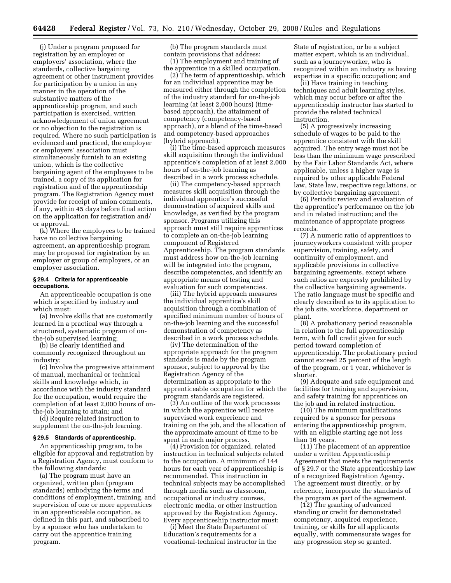(j) Under a program proposed for registration by an employer or employers' association, where the standards, collective bargaining agreement or other instrument provides for participation by a union in any manner in the operation of the substantive matters of the apprenticeship program, and such participation is exercised, written acknowledgement of union agreement or no objection to the registration is required. Where no such participation is evidenced and practiced, the employer or employers' association must simultaneously furnish to an existing union, which is the collective bargaining agent of the employees to be trained, a copy of its application for registration and of the apprenticeship program. The Registration Agency must provide for receipt of union comments, if any, within 45 days before final action on the application for registration and/ or approval.

(k) Where the employees to be trained have no collective bargaining agreement, an apprenticeship program may be proposed for registration by an employer or group of employers, or an employer association.

#### **§ 29.4 Criteria for apprenticeable occupations.**

An apprenticeable occupation is one which is specified by industry and which must:

(a) Involve skills that are customarily learned in a practical way through a structured, systematic program of onthe-job supervised learning;

(b) Be clearly identified and commonly recognized throughout an industry;

(c) Involve the progressive attainment of manual, mechanical or technical skills and knowledge which, in accordance with the industry standard for the occupation, would require the completion of at least 2,000 hours of onthe-job learning to attain; and

(d) Require related instruction to supplement the on-the-job learning.

#### **§ 29.5 Standards of apprenticeship.**

An apprenticeship program, to be eligible for approval and registration by a Registration Agency, must conform to the following standards:

(a) The program must have an organized, written plan (program standards) embodying the terms and conditions of employment, training, and supervision of one or more apprentices in an apprenticeable occupation, as defined in this part, and subscribed to by a sponsor who has undertaken to carry out the apprentice training program.

(b) The program standards must contain provisions that address: (1) The employment and training of the apprentice in a skilled occupation.

(2) The term of apprenticeship, which for an individual apprentice may be measured either through the completion of the industry standard for on-the-job learning (at least 2,000 hours) (timebased approach), the attainment of competency (competency-based approach), or a blend of the time-based and competency-based approaches (hybrid approach).

(i) The time-based approach measures skill acquisition through the individual apprentice's completion of at least 2,000 hours of on-the-job learning as described in a work process schedule.

(ii) The competency-based approach measures skill acquisition through the individual apprentice's successful demonstration of acquired skills and knowledge, as verified by the program sponsor. Programs utilizing this approach must still require apprentices to complete an on-the-job learning component of Registered Apprenticeship. The program standards must address how on-the-job learning will be integrated into the program, describe competencies, and identify an appropriate means of testing and evaluation for such competencies.

(iii) The hybrid approach measures the individual apprentice's skill acquisition through a combination of specified minimum number of hours of on-the-job learning and the successful demonstration of competency as described in a work process schedule.

(iv) The determination of the appropriate approach for the program standards is made by the program sponsor, subject to approval by the Registration Agency of the determination as appropriate to the apprenticeable occupation for which the program standards are registered.

(3) An outline of the work processes in which the apprentice will receive supervised work experience and training on the job, and the allocation of the approximate amount of time to be spent in each major process.

(4) Provision for organized, related instruction in technical subjects related to the occupation. A minimum of 144 hours for each year of apprenticeship is recommended. This instruction in technical subjects may be accomplished through media such as classroom, occupational or industry courses, electronic media, or other instruction approved by the Registration Agency. Every apprenticeship instructor must:

(i) Meet the State Department of Education's requirements for a vocational-technical instructor in the

State of registration, or be a subject matter expert, which is an individual, such as a journeyworker, who is recognized within an industry as having expertise in a specific occupation; and

(ii) Have training in teaching techniques and adult learning styles, which may occur before or after the apprenticeship instructor has started to provide the related technical instruction.

(5) A progressively increasing schedule of wages to be paid to the apprentice consistent with the skill acquired. The entry wage must not be less than the minimum wage prescribed by the Fair Labor Standards Act, where applicable, unless a higher wage is required by other applicable Federal law, State law, respective regulations, or by collective bargaining agreement.

(6) Periodic review and evaluation of the apprentice's performance on the job and in related instruction; and the maintenance of appropriate progress records.

(7) A numeric ratio of apprentices to journeyworkers consistent with proper supervision, training, safety, and continuity of employment, and applicable provisions in collective bargaining agreements, except where such ratios are expressly prohibited by the collective bargaining agreements. The ratio language must be specific and clearly described as to its application to the job site, workforce, department or plant.

(8) A probationary period reasonable in relation to the full apprenticeship term, with full credit given for such period toward completion of apprenticeship. The probationary period cannot exceed 25 percent of the length of the program, or 1 year, whichever is shorter.

(9) Adequate and safe equipment and facilities for training and supervision, and safety training for apprentices on the job and in related instruction.

(10) The minimum qualifications required by a sponsor for persons entering the apprenticeship program, with an eligible starting age not less than 16 years.

(11) The placement of an apprentice under a written Apprenticeship Agreement that meets the requirements of § 29.7 or the State apprenticeship law of a recognized Registration Agency. The agreement must directly, or by reference, incorporate the standards of the program as part of the agreement.

(12) The granting of advanced standing or credit for demonstrated competency, acquired experience, training, or skills for all applicants equally, with commensurate wages for any progression step so granted.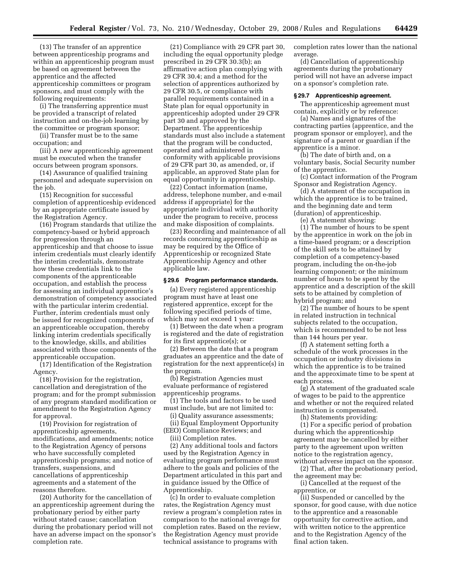(13) The transfer of an apprentice between apprenticeship programs and within an apprenticeship program must be based on agreement between the apprentice and the affected apprenticeship committees or program sponsors, and must comply with the following requirements:

(i) The transferring apprentice must be provided a transcript of related instruction and on-the-job learning by the committee or program sponsor;

(ii) Transfer must be to the same occupation; and

(iii) A new apprenticeship agreement must be executed when the transfer occurs between program sponsors.

(14) Assurance of qualified training personnel and adequate supervision on the job.

(15) Recognition for successful completion of apprenticeship evidenced by an appropriate certificate issued by the Registration Agency.

(16) Program standards that utilize the competency-based or hybrid approach for progression through an apprenticeship and that choose to issue interim credentials must clearly identify the interim credentials, demonstrate how these credentials link to the components of the apprenticeable occupation, and establish the process for assessing an individual apprentice's demonstration of competency associated with the particular interim credential. Further, interim credentials must only be issued for recognized components of an apprenticeable occupation, thereby linking interim credentials specifically to the knowledge, skills, and abilities associated with those components of the apprenticeable occupation.

(17) Identification of the Registration Agency.

(18) Provision for the registration, cancellation and deregistration of the program; and for the prompt submission of any program standard modification or amendment to the Registration Agency for approval.

(19) Provision for registration of apprenticeship agreements, modifications, and amendments; notice to the Registration Agency of persons who have successfully completed apprenticeship programs; and notice of transfers, suspensions, and cancellations of apprenticeship agreements and a statement of the reasons therefore.

(20) Authority for the cancellation of an apprenticeship agreement during the probationary period by either party without stated cause; cancellation during the probationary period will not have an adverse impact on the sponsor's completion rate.

(21) Compliance with 29 CFR part 30, including the equal opportunity pledge prescribed in 29 CFR 30.3(b); an affirmative action plan complying with 29 CFR 30.4; and a method for the selection of apprentices authorized by 29 CFR 30.5, or compliance with parallel requirements contained in a State plan for equal opportunity in apprenticeship adopted under 29 CFR part 30 and approved by the Department. The apprenticeship standards must also include a statement that the program will be conducted, operated and administered in conformity with applicable provisions of 29 CFR part 30, as amended, or, if applicable, an approved State plan for equal opportunity in apprenticeship.

(22) Contact information (name, address, telephone number, and e-mail address if appropriate) for the appropriate individual with authority under the program to receive, process and make disposition of complaints.

(23) Recording and maintenance of all records concerning apprenticeship as may be required by the Office of Apprenticeship or recognized State Apprenticeship Agency and other applicable law.

#### **§ 29.6 Program performance standards.**

(a) Every registered apprenticeship program must have at least one registered apprentice, except for the following specified periods of time, which may not exceed 1 year:

(1) Between the date when a program is registered and the date of registration for its first apprentice(s); or

(2) Between the date that a program graduates an apprentice and the date of registration for the next apprentice(s) in the program.

(b) Registration Agencies must evaluate performance of registered apprenticeship programs.

(1) The tools and factors to be used must include, but are not limited to:

(i) Quality assurance assessments;

(ii) Equal Employment Opportunity (EEO) Compliance Reviews; and

(iii) Completion rates.

(2) Any additional tools and factors used by the Registration Agency in evaluating program performance must adhere to the goals and policies of the Department articulated in this part and in guidance issued by the Office of Apprenticeship.

(c) In order to evaluate completion rates, the Registration Agency must review a program's completion rates in comparison to the national average for completion rates. Based on the review, the Registration Agency must provide technical assistance to programs with

completion rates lower than the national average.

(d) Cancellation of apprenticeship agreements during the probationary period will not have an adverse impact on a sponsor's completion rate.

#### **§ 29.7 Apprenticeship agreement.**

The apprenticeship agreement must contain, explicitly or by reference:

(a) Names and signatures of the contracting parties (apprentice, and the program sponsor or employer), and the signature of a parent or guardian if the apprentice is a minor.

(b) The date of birth and, on a voluntary basis, Social Security number of the apprentice.

(c) Contact information of the Program Sponsor and Registration Agency.

(d) A statement of the occupation in which the apprentice is to be trained, and the beginning date and term (duration) of apprenticeship.

(e) A statement showing:

(1) The number of hours to be spent by the apprentice in work on the job in a time-based program; or a description of the skill sets to be attained by completion of a competency-based program, including the on-the-job learning component; or the minimum number of hours to be spent by the apprentice and a description of the skill sets to be attained by completion of hybrid program; and

(2) The number of hours to be spent in related instruction in technical subjects related to the occupation, which is recommended to be not less than 144 hours per year.

(f) A statement setting forth a schedule of the work processes in the occupation or industry divisions in which the apprentice is to be trained and the approximate time to be spent at each process.

(g) A statement of the graduated scale of wages to be paid to the apprentice and whether or not the required related instruction is compensated.

(h) Statements providing:

(1) For a specific period of probation during which the apprenticeship agreement may be cancelled by either party to the agreement upon written notice to the registration agency, without adverse impact on the sponsor.

(2) That, after the probationary period, the agreement may be:

(i) Cancelled at the request of the apprentice, or

(ii) Suspended or cancelled by the sponsor, for good cause, with due notice to the apprentice and a reasonable opportunity for corrective action, and with written notice to the apprentice and to the Registration Agency of the final action taken.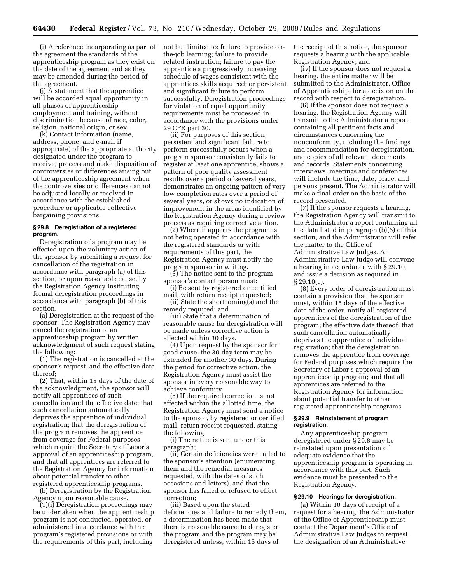(i) A reference incorporating as part of the agreement the standards of the apprenticeship program as they exist on the date of the agreement and as they may be amended during the period of the agreement.

(j) A statement that the apprentice will be accorded equal opportunity in all phases of apprenticeship employment and training, without discrimination because of race, color, religion, national origin, or sex.

(k) Contact information (name, address, phone, and e-mail if appropriate) of the appropriate authority designated under the program to receive, process and make disposition of controversies or differences arising out of the apprenticeship agreement when the controversies or differences cannot be adjusted locally or resolved in accordance with the established procedure or applicable collective bargaining provisions.

# **§ 29.8 Deregistration of a registered program.**

Deregistration of a program may be effected upon the voluntary action of the sponsor by submitting a request for cancellation of the registration in accordance with paragraph (a) of this section, or upon reasonable cause, by the Registration Agency instituting formal deregistration proceedings in accordance with paragraph (b) of this section.

(a) Deregistration at the request of the sponsor. The Registration Agency may cancel the registration of an apprenticeship program by written acknowledgment of such request stating the following:

(1) The registration is cancelled at the sponsor's request, and the effective date thereof;

(2) That, within 15 days of the date of the acknowledgment, the sponsor will notify all apprentices of such cancellation and the effective date; that such cancellation automatically deprives the apprentice of individual registration; that the deregistration of the program removes the apprentice from coverage for Federal purposes which require the Secretary of Labor's approval of an apprenticeship program, and that all apprentices are referred to the Registration Agency for information about potential transfer to other registered apprenticeship programs.

(b) Deregistration by the Registration Agency upon reasonable cause.

(1)(i) Deregistration proceedings may be undertaken when the apprenticeship program is not conducted, operated, or administered in accordance with the program's registered provisions or with the requirements of this part, including

not but limited to: failure to provide onthe-job learning; failure to provide related instruction; failure to pay the apprentice a progressively increasing schedule of wages consistent with the apprentices skills acquired; or persistent and significant failure to perform successfully. Deregistration proceedings for violation of equal opportunity requirements must be processed in accordance with the provisions under 29 CFR part 30.

(ii) For purposes of this section, persistent and significant failure to perform successfully occurs when a program sponsor consistently fails to register at least one apprentice, shows a pattern of poor quality assessment results over a period of several years, demonstrates an ongoing pattern of very low completion rates over a period of several years, or shows no indication of improvement in the areas identified by the Registration Agency during a review process as requiring corrective action.

(2) Where it appears the program is not being operated in accordance with the registered standards or with requirements of this part, the Registration Agency must notify the program sponsor in writing.

(3) The notice sent to the program sponsor's contact person must:

(i) Be sent by registered or certified mail, with return receipt requested;

(ii) State the shortcoming(s) and the remedy required; and

(iii) State that a determination of reasonable cause for deregistration will be made unless corrective action is effected within 30 days.

(4) Upon request by the sponsor for good cause, the 30-day term may be extended for another 30 days. During the period for corrective action, the Registration Agency must assist the sponsor in every reasonable way to achieve conformity.

(5) If the required correction is not effected within the allotted time, the Registration Agency must send a notice to the sponsor, by registered or certified mail, return receipt requested, stating the following:

(i) The notice is sent under this paragraph;

(ii) Certain deficiencies were called to the sponsor's attention (enumerating them and the remedial measures requested, with the dates of such occasions and letters), and that the sponsor has failed or refused to effect correction;

(iii) Based upon the stated deficiencies and failure to remedy them, a determination has been made that there is reasonable cause to deregister the program and the program may be deregistered unless, within 15 days of

the receipt of this notice, the sponsor requests a hearing with the applicable Registration Agency; and

(iv) If the sponsor does not request a hearing, the entire matter will be submitted to the Administrator, Office of Apprenticeship, for a decision on the record with respect to deregistration.

(6) If the sponsor does not request a hearing, the Registration Agency will transmit to the Administrator a report containing all pertinent facts and circumstances concerning the nonconformity, including the findings and recommendation for deregistration, and copies of all relevant documents and records. Statements concerning interviews, meetings and conferences will include the time, date, place, and persons present. The Administrator will make a final order on the basis of the record presented.

(7) If the sponsor requests a hearing, the Registration Agency will transmit to the Administrator a report containing all the data listed in paragraph (b)(6) of this section, and the Administrator will refer the matter to the Office of Administrative Law Judges. An Administrative Law Judge will convene a hearing in accordance with § 29.10, and issue a decision as required in  $\S 29.10(c)$ .

(8) Every order of deregistration must contain a provision that the sponsor must, within 15 days of the effective date of the order, notify all registered apprentices of the deregistration of the program; the effective date thereof; that such cancellation automatically deprives the apprentice of individual registration; that the deregistration removes the apprentice from coverage for Federal purposes which require the Secretary of Labor's approval of an apprenticeship program; and that all apprentices are referred to the Registration Agency for information about potential transfer to other registered apprenticeship programs.

# **§ 29.9 Reinstatement of program registration.**

Any apprenticeship program deregistered under § 29.8 may be reinstated upon presentation of adequate evidence that the apprenticeship program is operating in accordance with this part. Such evidence must be presented to the Registration Agency.

#### **§ 29.10 Hearings for deregistration.**

(a) Within 10 days of receipt of a request for a hearing, the Administrator of the Office of Apprenticeship must contact the Department's Office of Administrative Law Judges to request the designation of an Administrative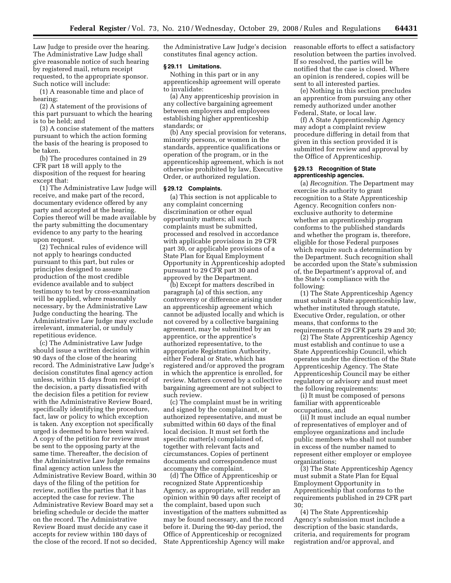Law Judge to preside over the hearing. The Administrative Law Judge shall give reasonable notice of such hearing by registered mail, return receipt requested, to the appropriate sponsor. Such notice will include:

(1) A reasonable time and place of hearing;

(2) A statement of the provisions of this part pursuant to which the hearing is to be held; and

(3) A concise statement of the matters pursuant to which the action forming the basis of the hearing is proposed to be taken.

(b) The procedures contained in 29 CFR part 18 will apply to the disposition of the request for hearing except that:

(1) The Administrative Law Judge will receive, and make part of the record, documentary evidence offered by any party and accepted at the hearing. Copies thereof will be made available by the party submitting the documentary evidence to any party to the hearing upon request.

(2) Technical rules of evidence will not apply to hearings conducted pursuant to this part, but rules or principles designed to assure production of the most credible evidence available and to subject testimony to test by cross-examination will be applied, where reasonably necessary, by the Administrative Law Judge conducting the hearing. The Administrative Law Judge may exclude irrelevant, immaterial, or unduly repetitious evidence.

(c) The Administrative Law Judge should issue a written decision within 90 days of the close of the hearing record. The Administrative Law Judge's decision constitutes final agency action unless, within 15 days from receipt of the decision, a party dissatisfied with the decision files a petition for review with the Administrative Review Board, specifically identifying the procedure, fact, law or policy to which exception is taken. Any exception not specifically urged is deemed to have been waived. A copy of the petition for review must be sent to the opposing party at the same time. Thereafter, the decision of the Administrative Law Judge remains final agency action unless the Administrative Review Board, within 30 days of the filing of the petition for review, notifies the parties that it has accepted the case for review. The Administrative Review Board may set a briefing schedule or decide the matter on the record. The Administrative Review Board must decide any case it accepts for review within 180 days of the close of the record. If not so decided, the Administrative Law Judge's decision constitutes final agency action.

#### **§ 29.11 Limitations.**

Nothing in this part or in any apprenticeship agreement will operate to invalidate:

(a) Any apprenticeship provision in any collective bargaining agreement between employers and employees establishing higher apprenticeship standards; or

(b) Any special provision for veterans, minority persons, or women in the standards, apprentice qualifications or operation of the program, or in the apprenticeship agreement, which is not otherwise prohibited by law, Executive Order, or authorized regulation.

#### **§ 29.12 Complaints.**

(a) This section is not applicable to any complaint concerning discrimination or other equal opportunity matters; all such complaints must be submitted, processed and resolved in accordance with applicable provisions in 29 CFR part 30, or applicable provisions of a State Plan for Equal Employment Opportunity in Apprenticeship adopted pursuant to 29 CFR part 30 and approved by the Department.

(b) Except for matters described in paragraph (a) of this section, any controversy or difference arising under an apprenticeship agreement which cannot be adjusted locally and which is not covered by a collective bargaining agreement, may be submitted by an apprentice, or the apprentice's authorized representative, to the appropriate Registration Authority, either Federal or State, which has registered and/or approved the program in which the apprentice is enrolled, for review. Matters covered by a collective bargaining agreement are not subject to such review.

(c) The complaint must be in writing and signed by the complainant, or authorized representative, and must be submitted within 60 days of the final local decision. It must set forth the specific matter(s) complained of, together with relevant facts and circumstances. Copies of pertinent documents and correspondence must accompany the complaint.

(d) The Office of Apprenticeship or recognized State Apprenticeship Agency, as appropriate, will render an opinion within 90 days after receipt of the complaint, based upon such investigation of the matters submitted as may be found necessary, and the record before it. During the 90-day period, the Office of Apprenticeship or recognized State Apprenticeship Agency will make

reasonable efforts to effect a satisfactory resolution between the parties involved. If so resolved, the parties will be notified that the case is closed. Where an opinion is rendered, copies will be sent to all interested parties.

(e) Nothing in this section precludes an apprentice from pursuing any other remedy authorized under another Federal, State, or local law.

(f) A State Apprenticeship Agency may adopt a complaint review procedure differing in detail from that given in this section provided it is submitted for review and approval by the Office of Apprenticeship.

#### **§ 29.13 Recognition of State apprenticeship agencies.**

(a) *Recognition*. The Department may exercise its authority to grant recognition to a State Apprenticeship Agency. Recognition confers nonexclusive authority to determine whether an apprenticeship program conforms to the published standards and whether the program is, therefore, eligible for those Federal purposes which require such a determination by the Department. Such recognition shall be accorded upon the State's submission of, the Department's approval of, and the State's compliance with the following:

(1) The State Apprenticeship Agency must submit a State apprenticeship law, whether instituted through statute, Executive Order, regulation, or other means, that conforms to the requirements of 29 CFR parts 29 and 30;

(2) The State Apprenticeship Agency must establish and continue to use a State Apprenticeship Council, which operates under the direction of the State Apprenticeship Agency. The State Apprenticeship Council may be either regulatory or advisory and must meet the following requirements:

(i) It must be composed of persons familiar with apprenticeable occupations, and

(ii) It must include an equal number of representatives of employer and of employee organizations and include public members who shall not number in excess of the number named to represent either employer or employee organizations;

(3) The State Apprenticeship Agency must submit a State Plan for Equal Employment Opportunity in Apprenticeship that conforms to the requirements published in 29 CFR part 30;

(4) The State Apprenticeship Agency's submission must include a description of the basic standards, criteria, and requirements for program registration and/or approval, and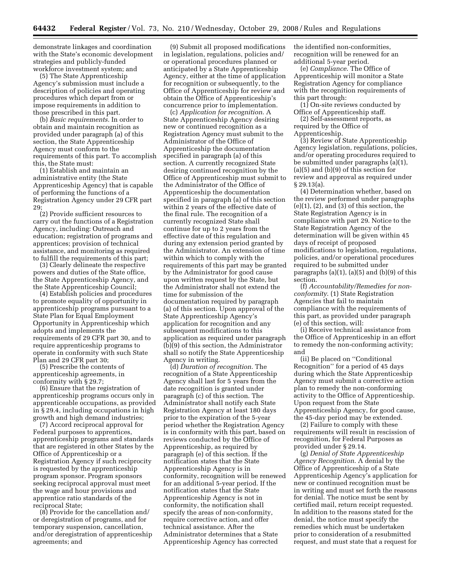demonstrate linkages and coordination with the State's economic development strategies and publicly-funded workforce investment system; and

(5) The State Apprenticeship Agency's submission must include a description of policies and operating procedures which depart from or impose requirements in addition to those prescribed in this part.

(b) *Basic requirements*. In order to obtain and maintain recognition as provided under paragraph (a) of this section, the State Apprenticeship Agency must conform to the requirements of this part. To accomplish this, the State must:

(1) Establish and maintain an administrative entity (the State Apprenticeship Agency) that is capable of performing the functions of a Registration Agency under 29 CFR part 29;

(2) Provide sufficient resources to carry out the functions of a Registration Agency, including: Outreach and education; registration of programs and apprentices; provision of technical assistance, and monitoring as required to fulfill the requirements of this part;

(3) Clearly delineate the respective powers and duties of the State office, the State Apprenticeship Agency, and the State Apprenticeship Council;

(4) Establish policies and procedures to promote equality of opportunity in apprenticeship programs pursuant to a State Plan for Equal Employment Opportunity in Apprenticeship which adopts and implements the requirements of 29 CFR part 30, and to require apprenticeship programs to operate in conformity with such State Plan and 29 CFR part 30;

(5) Prescribe the contents of apprenticeship agreements, in conformity with § 29.7;

(6) Ensure that the registration of apprenticeship programs occurs only in apprenticeable occupations, as provided in § 29.4, including occupations in high growth and high demand industries;

(7) Accord reciprocal approval for Federal purposes to apprentices, apprenticeship programs and standards that are registered in other States by the Office of Apprenticeship or a Registration Agency if such reciprocity is requested by the apprenticeship program sponsor. Program sponsors seeking reciprocal approval must meet the wage and hour provisions and apprentice ratio standards of the reciprocal State;

(8) Provide for the cancellation and/ or deregistration of programs, and for temporary suspension, cancellation, and/or deregistration of apprenticeship agreements; and

(9) Submit all proposed modifications in legislation, regulations, policies and/ or operational procedures planned or anticipated by a State Apprenticeship Agency, either at the time of application for recognition or subsequently, to the Office of Apprenticeship for review and obtain the Office of Apprenticeship's concurrence prior to implementation.

(c) *Application for recognition*. A State Apprenticeship Agency desiring new or continued recognition as a Registration Agency must submit to the Administrator of the Office of Apprenticeship the documentation specified in paragraph (a) of this section. A currently recognized State desiring continued recognition by the Office of Apprenticeship must submit to the Administrator of the Office of Apprenticeship the documentation specified in paragraph (a) of this section within 2 years of the effective date of the final rule. The recognition of a currently recognized State shall continue for up to 2 years from the effective date of this regulation and during any extension period granted by the Administrator. An extension of time within which to comply with the requirements of this part may be granted by the Administrator for good cause upon written request by the State, but the Administrator shall not extend the time for submission of the documentation required by paragraph (a) of this section. Upon approval of the State Apprenticeship Agency's application for recognition and any subsequent modifications to this application as required under paragraph (b)(9) of this section, the Administrator shall so notify the State Apprenticeship Agency in writing.

(d) *Duration of recognition*. The recognition of a State Apprenticeship Agency shall last for 5 years from the date recognition is granted under paragraph (c) of this section. The Administrator shall notify each State Registration Agency at least 180 days prior to the expiration of the 5-year period whether the Registration Agency is in conformity with this part, based on reviews conducted by the Office of Apprenticeship, as required by paragraph (e) of this section. If the notification states that the State Apprenticeship Agency is in conformity, recognition will be renewed for an additional 5-year period. If the notification states that the State Apprenticeship Agency is not in conformity, the notification shall specify the areas of non-conformity, require corrective action, and offer technical assistance. After the Administrator determines that a State Apprenticeship Agency has corrected

the identified non-conformities, recognition will be renewed for an additional 5-year period.

(e) *Compliance*. The Office of Apprenticeship will monitor a State Registration Agency for compliance with the recognition requirements of this part through:

(1) On-site reviews conducted by Office of Apprenticeship staff.

(2) Self-assessment reports, as required by the Office of

Apprenticeship.

(3) Review of State Apprenticeship Agency legislation, regulations, policies, and/or operating procedures required to be submitted under paragraphs (a)(1), (a)(5) and (b)(9) of this section for review and approval as required under § 29.13(a).

(4) Determination whether, based on the review performed under paragraphs  $(e)(1)$ ,  $(2)$ , and  $(3)$  of this section, the State Registration Agency is in compliance with part 29. Notice to the State Registration Agency of the determination will be given within 45 days of receipt of proposed modifications to legislation, regulations, policies, and/or operational procedures required to be submitted under paragraphs  $(a)(1)$ ,  $(a)(5)$  and  $(b)(9)$  of this section.

(f) *Accountability/Remedies for nonconformity*. (1) State Registration Agencies that fail to maintain compliance with the requirements of this part, as provided under paragraph (e) of this section, will:

(i) Receive technical assistance from the Office of Apprenticeship in an effort to remedy the non-conforming activity; and

(ii) Be placed on ''Conditional Recognition'' for a period of 45 days during which the State Apprenticeship Agency must submit a corrective action plan to remedy the non-conforming activity to the Office of Apprenticeship. Upon request from the State Apprenticeship Agency, for good cause, the 45-day period may be extended.

(2) Failure to comply with these requirements will result in rescission of recognition, for Federal Purposes as provided under § 29.14.

(g) *Denial of State Apprenticeship Agency Recognition*. A denial by the Office of Apprenticeship of a State Apprenticeship Agency's application for new or continued recognition must be in writing and must set forth the reasons for denial. The notice must be sent by certified mail, return receipt requested. In addition to the reasons stated for the denial, the notice must specify the remedies which must be undertaken prior to consideration of a resubmitted request, and must state that a request for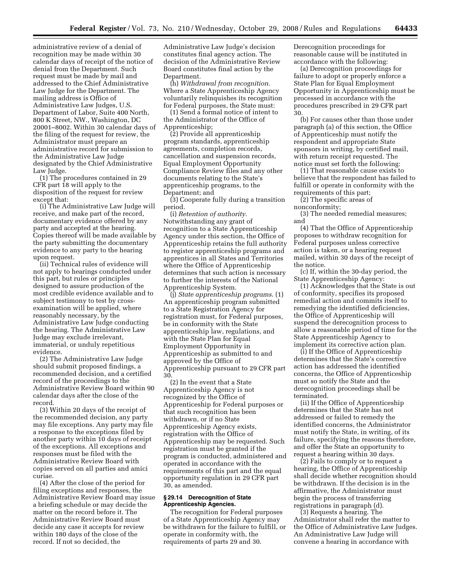administrative review of a denial of recognition may be made within 30 calendar days of receipt of the notice of denial from the Department. Such request must be made by mail and addressed to the Chief Administrative Law Judge for the Department. The mailing address is Office of Administrative Law Judges, U.S. Department of Labor, Suite 400 North, 800 K Street, NW., Washington, DC 20001–8002. Within 30 calendar days of the filing of the request for review, the Administrator must prepare an administrative record for submission to the Administrative Law Judge designated by the Chief Administrative Law Judge.

(1) The procedures contained in 29 CFR part 18 will apply to the disposition of the request for review except that:

(i) The Administrative Law Judge will receive, and make part of the record, documentary evidence offered by any party and accepted at the hearing. Copies thereof will be made available by the party submitting the documentary evidence to any party to the hearing upon request.

(ii) Technical rules of evidence will not apply to hearings conducted under this part, but rules or principles designed to assure production of the most credible evidence available and to subject testimony to test by crossexamination will be applied, where reasonably necessary, by the Administrative Law Judge conducting the hearing. The Administrative Law Judge may exclude irrelevant, immaterial, or unduly repetitious evidence.

(2) The Administrative Law Judge should submit proposed findings, a recommended decision, and a certified record of the proceedings to the Administrative Review Board within 90 calendar days after the close of the record.

(3) Within 20 days of the receipt of the recommended decision, any party may file exceptions. Any party may file a response to the exceptions filed by another party within 10 days of receipt of the exceptions. All exceptions and responses must be filed with the Administrative Review Board with copies served on all parties and amici curiae.

(4) After the close of the period for filing exceptions and responses, the Administrative Review Board may issue a briefing schedule or may decide the matter on the record before it. The Administrative Review Board must decide any case it accepts for review within 180 days of the close of the record. If not so decided, the

Administrative Law Judge's decision constitutes final agency action. The decision of the Administrative Review Board constitutes final action by the Department.

(h) *Withdrawal from recognition*. Where a State Apprenticeship Agency voluntarily relinquishes its recognition for Federal purposes, the State must:

(1) Send a formal notice of intent to the Administrator of the Office of Apprenticeship;

(2) Provide all apprenticeship program standards, apprenticeship agreements, completion records, cancellation and suspension records, Equal Employment Opportunity Compliance Review files and any other documents relating to the State's apprenticeship programs, to the Department; and

(3) Cooperate fully during a transition period.

(i) *Retention of authority*. Notwithstanding any grant of recognition to a State Apprenticeship Agency under this section, the Office of Apprenticeship retains the full authority to register apprenticeship programs and apprentices in all States and Territories where the Office of Apprenticeship determines that such action is necessary to further the interests of the National Apprenticeship System.

(j) *State apprenticeship programs*. (1) An apprenticeship program submitted to a State Registration Agency for registration must, for Federal purposes, be in conformity with the State apprenticeship law, regulations, and with the State Plan for Equal Employment Opportunity in Apprenticeship as submitted to and approved by the Office of Apprenticeship pursuant to 29 CFR part 30.

(2) In the event that a State Apprenticeship Agency is not recognized by the Office of Apprenticeship for Federal purposes or that such recognition has been withdrawn, or if no State Apprenticeship Agency exists, registration with the Office of Apprenticeship may be requested. Such registration must be granted if the program is conducted, administered and operated in accordance with the requirements of this part and the equal opportunity regulation in 29 CFR part 30, as amended.

# **§ 29.14 Derecognition of State Apprenticeship Agencies.**

The recognition for Federal purposes of a State Apprenticeship Agency may be withdrawn for the failure to fulfill, or operate in conformity with, the requirements of parts 29 and 30.

Derecognition proceedings for reasonable cause will be instituted in accordance with the following:

(a) Derecognition proceedings for failure to adopt or properly enforce a State Plan for Equal Employment Opportunity in Apprenticeship must be processed in accordance with the procedures prescribed in 29 CFR part 30.

(b) For causes other than those under paragraph (a) of this section, the Office of Apprenticeship must notify the respondent and appropriate State sponsors in writing, by certified mail, with return receipt requested. The notice must set forth the following:

(1) That reasonable cause exists to believe that the respondent has failed to fulfill or operate in conformity with the requirements of this part;

(2) The specific areas of nonconformity;

(3) The needed remedial measures; and

(4) That the Office of Apprenticeship proposes to withdraw recognition for Federal purposes unless corrective action is taken, or a hearing request mailed, within 30 days of the receipt of the notice.

(c) If, within the 30-day period, the State Apprenticeship Agency:

(1) Acknowledges that the State is out of conformity, specifies its proposed remedial action and commits itself to remedying the identified deficiencies, the Office of Apprenticeship will suspend the derecognition process to allow a reasonable period of time for the State Apprenticeship Agency to implement its corrective action plan.

(i) If the Office of Apprenticeship determines that the State's corrective action has addressed the identified concerns, the Office of Apprenticeship must so notify the State and the derecognition proceedings shall be terminated.

(ii) If the Office of Apprenticeship determines that the State has not addressed or failed to remedy the identified concerns, the Administrator must notify the State, in writing, of its failure, specifying the reasons therefore, and offer the State an opportunity to request a hearing within 30 days.

(2) Fails to comply or to request a hearing, the Office of Apprenticeship shall decide whether recognition should be withdrawn. If the decision is in the affirmative, the Administrator must begin the process of transferring registrations in paragraph (d).

(3) Requests a hearing. The Administrator shall refer the matter to the Office of Administrative Law Judges. An Administrative Law Judge will convene a hearing in accordance with